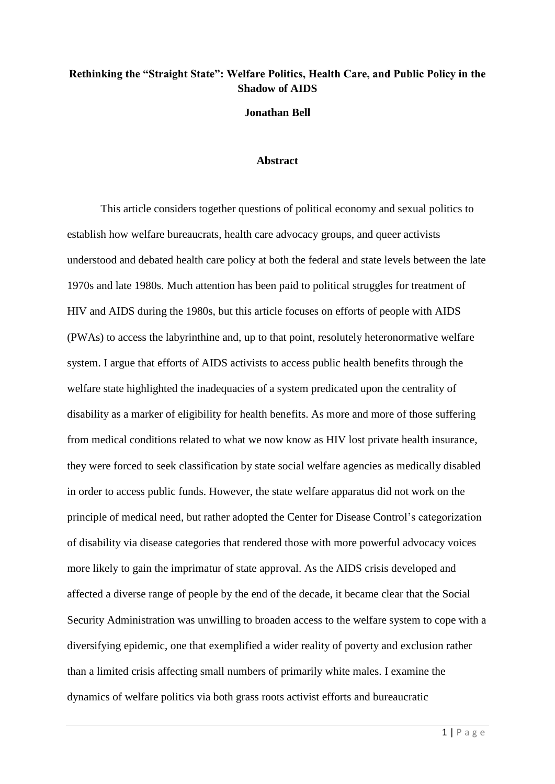# **Rethinking the "Straight State": Welfare Politics, Health Care, and Public Policy in the Shadow of AIDS**

**Jonathan Bell**

#### **Abstract**

This article considers together questions of political economy and sexual politics to establish how welfare bureaucrats, health care advocacy groups, and queer activists understood and debated health care policy at both the federal and state levels between the late 1970s and late 1980s. Much attention has been paid to political struggles for treatment of HIV and AIDS during the 1980s, but this article focuses on efforts of people with AIDS (PWAs) to access the labyrinthine and, up to that point, resolutely heteronormative welfare system. I argue that efforts of AIDS activists to access public health benefits through the welfare state highlighted the inadequacies of a system predicated upon the centrality of disability as a marker of eligibility for health benefits. As more and more of those suffering from medical conditions related to what we now know as HIV lost private health insurance, they were forced to seek classification by state social welfare agencies as medically disabled in order to access public funds. However, the state welfare apparatus did not work on the principle of medical need, but rather adopted the Center for Disease Control's categorization of disability via disease categories that rendered those with more powerful advocacy voices more likely to gain the imprimatur of state approval. As the AIDS crisis developed and affected a diverse range of people by the end of the decade, it became clear that the Social Security Administration was unwilling to broaden access to the welfare system to cope with a diversifying epidemic, one that exemplified a wider reality of poverty and exclusion rather than a limited crisis affecting small numbers of primarily white males. I examine the dynamics of welfare politics via both grass roots activist efforts and bureaucratic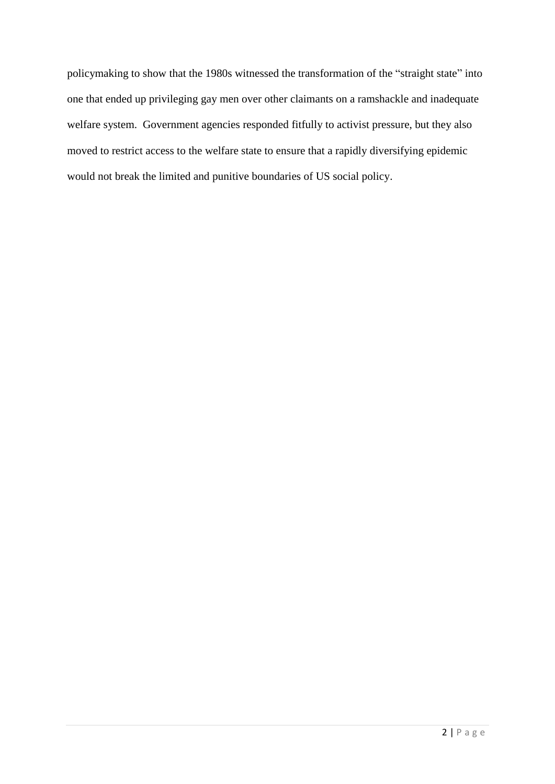policymaking to show that the 1980s witnessed the transformation of the "straight state" into one that ended up privileging gay men over other claimants on a ramshackle and inadequate welfare system. Government agencies responded fitfully to activist pressure, but they also moved to restrict access to the welfare state to ensure that a rapidly diversifying epidemic would not break the limited and punitive boundaries of US social policy.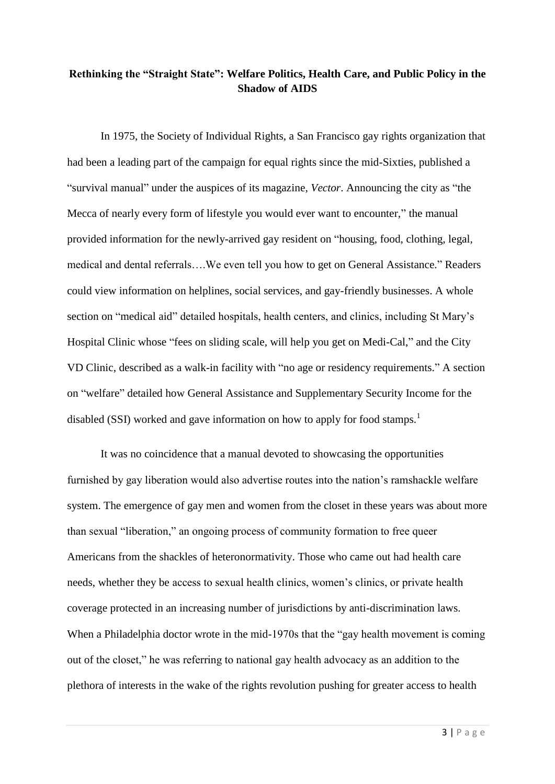## **Rethinking the "Straight State": Welfare Politics, Health Care, and Public Policy in the Shadow of AIDS**

In 1975, the Society of Individual Rights, a San Francisco gay rights organization that had been a leading part of the campaign for equal rights since the mid-Sixties, published a "survival manual" under the auspices of its magazine, *Vector*. Announcing the city as "the Mecca of nearly every form of lifestyle you would ever want to encounter," the manual provided information for the newly-arrived gay resident on "housing, food, clothing, legal, medical and dental referrals….We even tell you how to get on General Assistance." Readers could view information on helplines, social services, and gay-friendly businesses. A whole section on "medical aid" detailed hospitals, health centers, and clinics, including St Mary's Hospital Clinic whose "fees on sliding scale, will help you get on Medi-Cal," and the City VD Clinic, described as a walk-in facility with "no age or residency requirements." A section on "welfare" detailed how General Assistance and Supplementary Security Income for the disabled (SSI) worked and gave information on how to apply for food stamps.<sup>1</sup>

It was no coincidence that a manual devoted to showcasing the opportunities furnished by gay liberation would also advertise routes into the nation's ramshackle welfare system. The emergence of gay men and women from the closet in these years was about more than sexual "liberation," an ongoing process of community formation to free queer Americans from the shackles of heteronormativity. Those who came out had health care needs, whether they be access to sexual health clinics, women's clinics, or private health coverage protected in an increasing number of jurisdictions by anti-discrimination laws. When a Philadelphia doctor wrote in the mid-1970s that the "gay health movement is coming out of the closet," he was referring to national gay health advocacy as an addition to the plethora of interests in the wake of the rights revolution pushing for greater access to health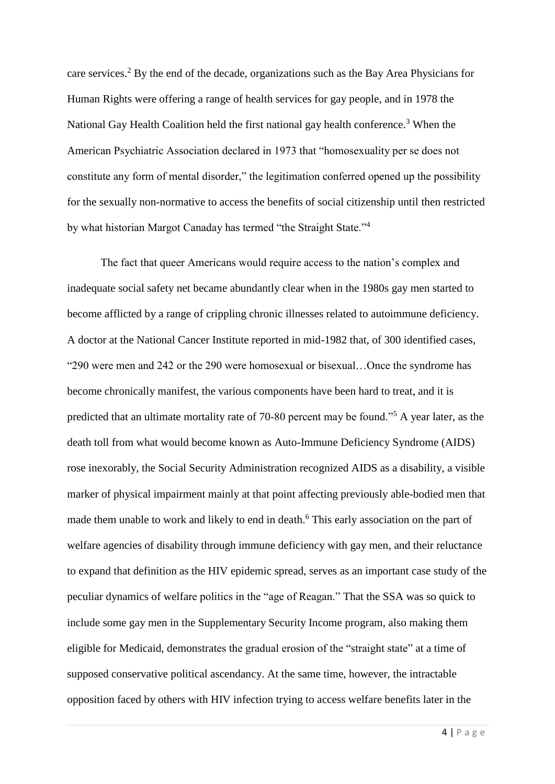care services.<sup>2</sup> By the end of the decade, organizations such as the Bay Area Physicians for Human Rights were offering a range of health services for gay people, and in 1978 the National Gay Health Coalition held the first national gay health conference.<sup>3</sup> When the American Psychiatric Association declared in 1973 that "homosexuality per se does not constitute any form of mental disorder," the legitimation conferred opened up the possibility for the sexually non-normative to access the benefits of social citizenship until then restricted by what historian Margot Canaday has termed "the Straight State."<sup>4</sup>

The fact that queer Americans would require access to the nation's complex and inadequate social safety net became abundantly clear when in the 1980s gay men started to become afflicted by a range of crippling chronic illnesses related to autoimmune deficiency. A doctor at the National Cancer Institute reported in mid-1982 that, of 300 identified cases, "290 were men and 242 or the 290 were homosexual or bisexual…Once the syndrome has become chronically manifest, the various components have been hard to treat, and it is predicted that an ultimate mortality rate of 70-80 percent may be found."<sup>5</sup> A year later, as the death toll from what would become known as Auto-Immune Deficiency Syndrome (AIDS) rose inexorably, the Social Security Administration recognized AIDS as a disability, a visible marker of physical impairment mainly at that point affecting previously able-bodied men that made them unable to work and likely to end in death.<sup>6</sup> This early association on the part of welfare agencies of disability through immune deficiency with gay men, and their reluctance to expand that definition as the HIV epidemic spread, serves as an important case study of the peculiar dynamics of welfare politics in the "age of Reagan." That the SSA was so quick to include some gay men in the Supplementary Security Income program, also making them eligible for Medicaid, demonstrates the gradual erosion of the "straight state" at a time of supposed conservative political ascendancy. At the same time, however, the intractable opposition faced by others with HIV infection trying to access welfare benefits later in the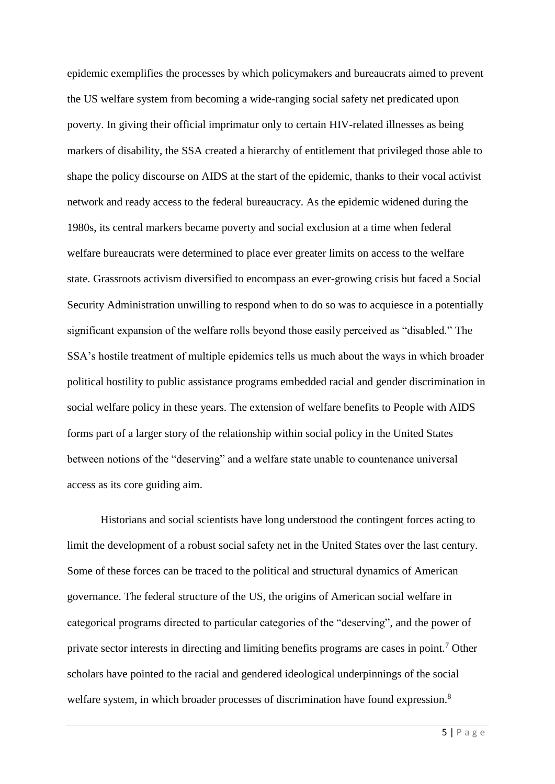epidemic exemplifies the processes by which policymakers and bureaucrats aimed to prevent the US welfare system from becoming a wide-ranging social safety net predicated upon poverty. In giving their official imprimatur only to certain HIV-related illnesses as being markers of disability, the SSA created a hierarchy of entitlement that privileged those able to shape the policy discourse on AIDS at the start of the epidemic, thanks to their vocal activist network and ready access to the federal bureaucracy. As the epidemic widened during the 1980s, its central markers became poverty and social exclusion at a time when federal welfare bureaucrats were determined to place ever greater limits on access to the welfare state. Grassroots activism diversified to encompass an ever-growing crisis but faced a Social Security Administration unwilling to respond when to do so was to acquiesce in a potentially significant expansion of the welfare rolls beyond those easily perceived as "disabled." The SSA's hostile treatment of multiple epidemics tells us much about the ways in which broader political hostility to public assistance programs embedded racial and gender discrimination in social welfare policy in these years. The extension of welfare benefits to People with AIDS forms part of a larger story of the relationship within social policy in the United States between notions of the "deserving" and a welfare state unable to countenance universal access as its core guiding aim.

Historians and social scientists have long understood the contingent forces acting to limit the development of a robust social safety net in the United States over the last century. Some of these forces can be traced to the political and structural dynamics of American governance. The federal structure of the US, the origins of American social welfare in categorical programs directed to particular categories of the "deserving", and the power of private sector interests in directing and limiting benefits programs are cases in point.<sup>7</sup> Other scholars have pointed to the racial and gendered ideological underpinnings of the social welfare system, in which broader processes of discrimination have found expression.<sup>8</sup>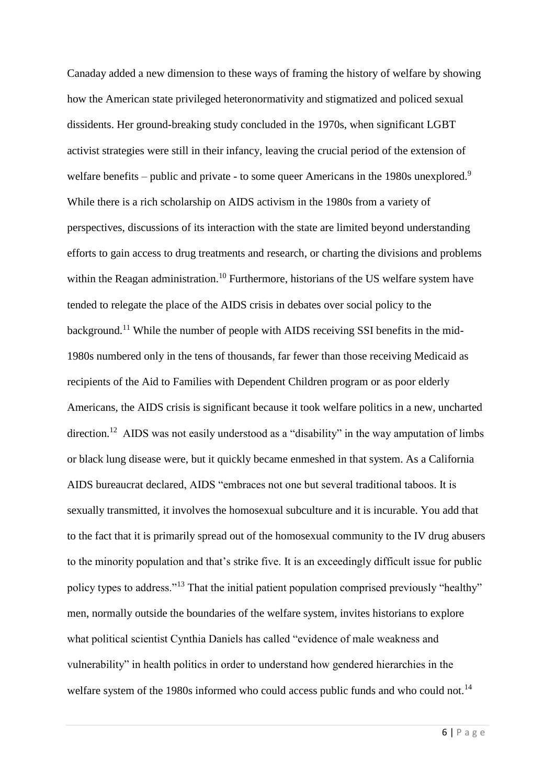Canaday added a new dimension to these ways of framing the history of welfare by showing how the American state privileged heteronormativity and stigmatized and policed sexual dissidents. Her ground-breaking study concluded in the 1970s, when significant LGBT activist strategies were still in their infancy, leaving the crucial period of the extension of welfare benefits – public and private - to some queer Americans in the 1980s unexplored.<sup>9</sup> While there is a rich scholarship on AIDS activism in the 1980s from a variety of perspectives, discussions of its interaction with the state are limited beyond understanding efforts to gain access to drug treatments and research, or charting the divisions and problems within the Reagan administration.<sup>10</sup> Furthermore, historians of the US welfare system have tended to relegate the place of the AIDS crisis in debates over social policy to the background.<sup>11</sup> While the number of people with AIDS receiving SSI benefits in the mid-1980s numbered only in the tens of thousands, far fewer than those receiving Medicaid as recipients of the Aid to Families with Dependent Children program or as poor elderly Americans, the AIDS crisis is significant because it took welfare politics in a new, uncharted direction.<sup>12</sup> AIDS was not easily understood as a "disability" in the way amputation of limbs or black lung disease were, but it quickly became enmeshed in that system. As a California AIDS bureaucrat declared, AIDS "embraces not one but several traditional taboos. It is sexually transmitted, it involves the homosexual subculture and it is incurable. You add that to the fact that it is primarily spread out of the homosexual community to the IV drug abusers to the minority population and that's strike five. It is an exceedingly difficult issue for public policy types to address."<sup>13</sup> That the initial patient population comprised previously "healthy" men, normally outside the boundaries of the welfare system, invites historians to explore what political scientist Cynthia Daniels has called "evidence of male weakness and vulnerability" in health politics in order to understand how gendered hierarchies in the welfare system of the 1980s informed who could access public funds and who could not.<sup>14</sup>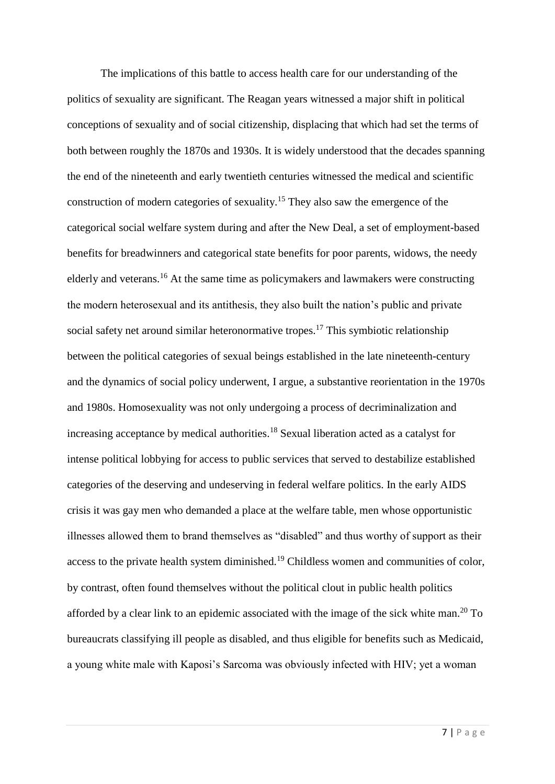The implications of this battle to access health care for our understanding of the politics of sexuality are significant. The Reagan years witnessed a major shift in political conceptions of sexuality and of social citizenship, displacing that which had set the terms of both between roughly the 1870s and 1930s. It is widely understood that the decades spanning the end of the nineteenth and early twentieth centuries witnessed the medical and scientific construction of modern categories of sexuality.<sup>15</sup> They also saw the emergence of the categorical social welfare system during and after the New Deal, a set of employment-based benefits for breadwinners and categorical state benefits for poor parents, widows, the needy elderly and veterans.<sup>16</sup> At the same time as policymakers and lawmakers were constructing the modern heterosexual and its antithesis, they also built the nation's public and private social safety net around similar heteronormative tropes.<sup>17</sup> This symbiotic relationship between the political categories of sexual beings established in the late nineteenth-century and the dynamics of social policy underwent, I argue, a substantive reorientation in the 1970s and 1980s. Homosexuality was not only undergoing a process of decriminalization and increasing acceptance by medical authorities.<sup>18</sup> Sexual liberation acted as a catalyst for intense political lobbying for access to public services that served to destabilize established categories of the deserving and undeserving in federal welfare politics. In the early AIDS crisis it was gay men who demanded a place at the welfare table, men whose opportunistic illnesses allowed them to brand themselves as "disabled" and thus worthy of support as their access to the private health system diminished.<sup>19</sup> Childless women and communities of color, by contrast, often found themselves without the political clout in public health politics afforded by a clear link to an epidemic associated with the image of the sick white man.<sup>20</sup> To bureaucrats classifying ill people as disabled, and thus eligible for benefits such as Medicaid, a young white male with Kaposi's Sarcoma was obviously infected with HIV; yet a woman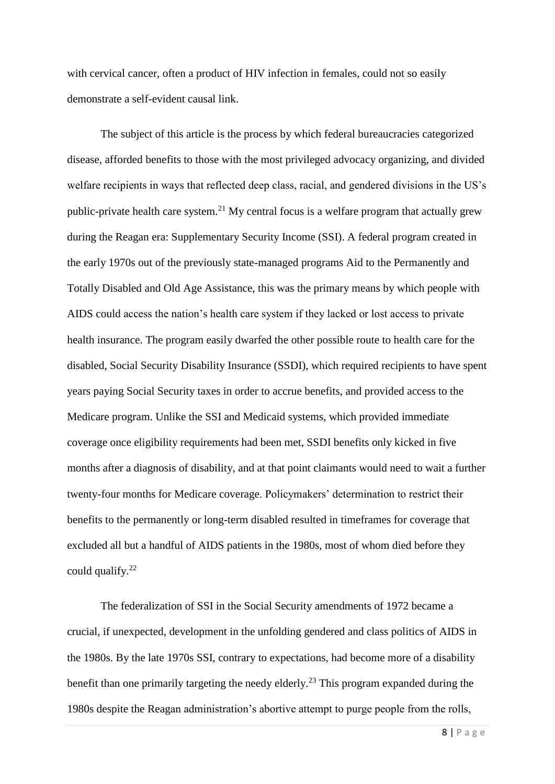with cervical cancer, often a product of HIV infection in females, could not so easily demonstrate a self-evident causal link.

The subject of this article is the process by which federal bureaucracies categorized disease, afforded benefits to those with the most privileged advocacy organizing, and divided welfare recipients in ways that reflected deep class, racial, and gendered divisions in the US's public-private health care system.<sup>21</sup> My central focus is a welfare program that actually grew during the Reagan era: Supplementary Security Income (SSI). A federal program created in the early 1970s out of the previously state-managed programs Aid to the Permanently and Totally Disabled and Old Age Assistance, this was the primary means by which people with AIDS could access the nation's health care system if they lacked or lost access to private health insurance. The program easily dwarfed the other possible route to health care for the disabled, Social Security Disability Insurance (SSDI), which required recipients to have spent years paying Social Security taxes in order to accrue benefits, and provided access to the Medicare program. Unlike the SSI and Medicaid systems, which provided immediate coverage once eligibility requirements had been met, SSDI benefits only kicked in five months after a diagnosis of disability, and at that point claimants would need to wait a further twenty-four months for Medicare coverage. Policymakers' determination to restrict their benefits to the permanently or long-term disabled resulted in timeframes for coverage that excluded all but a handful of AIDS patients in the 1980s, most of whom died before they could qualify.<sup>22</sup>

The federalization of SSI in the Social Security amendments of 1972 became a crucial, if unexpected, development in the unfolding gendered and class politics of AIDS in the 1980s. By the late 1970s SSI, contrary to expectations, had become more of a disability benefit than one primarily targeting the needy elderly.<sup>23</sup> This program expanded during the 1980s despite the Reagan administration's abortive attempt to purge people from the rolls,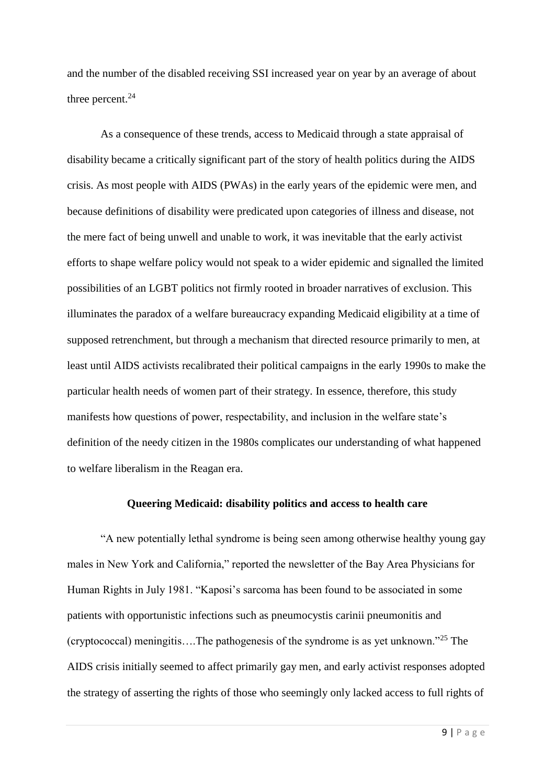and the number of the disabled receiving SSI increased year on year by an average of about three percent.<sup>24</sup>

As a consequence of these trends, access to Medicaid through a state appraisal of disability became a critically significant part of the story of health politics during the AIDS crisis. As most people with AIDS (PWAs) in the early years of the epidemic were men, and because definitions of disability were predicated upon categories of illness and disease, not the mere fact of being unwell and unable to work, it was inevitable that the early activist efforts to shape welfare policy would not speak to a wider epidemic and signalled the limited possibilities of an LGBT politics not firmly rooted in broader narratives of exclusion. This illuminates the paradox of a welfare bureaucracy expanding Medicaid eligibility at a time of supposed retrenchment, but through a mechanism that directed resource primarily to men, at least until AIDS activists recalibrated their political campaigns in the early 1990s to make the particular health needs of women part of their strategy. In essence, therefore, this study manifests how questions of power, respectability, and inclusion in the welfare state's definition of the needy citizen in the 1980s complicates our understanding of what happened to welfare liberalism in the Reagan era.

### **Queering Medicaid: disability politics and access to health care**

"A new potentially lethal syndrome is being seen among otherwise healthy young gay males in New York and California," reported the newsletter of the Bay Area Physicians for Human Rights in July 1981. "Kaposi's sarcoma has been found to be associated in some patients with opportunistic infections such as pneumocystis carinii pneumonitis and (cryptococcal) meningitis….The pathogenesis of the syndrome is as yet unknown."<sup>25</sup> The AIDS crisis initially seemed to affect primarily gay men, and early activist responses adopted the strategy of asserting the rights of those who seemingly only lacked access to full rights of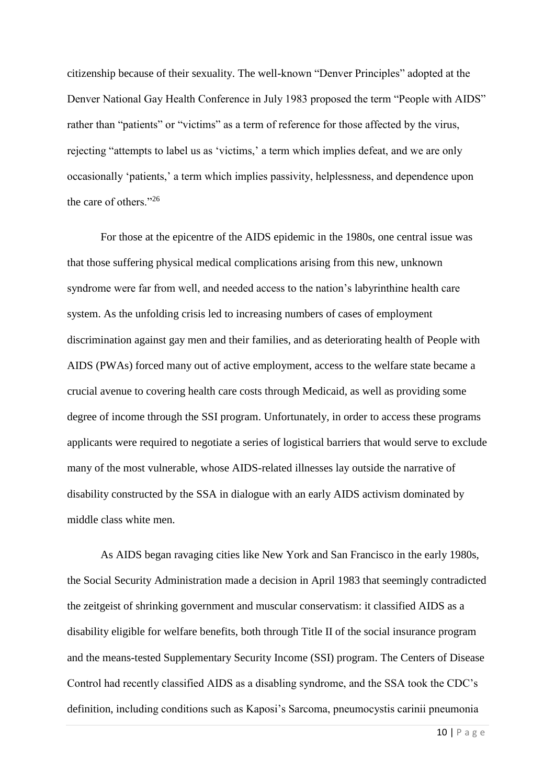citizenship because of their sexuality. The well-known "Denver Principles" adopted at the Denver National Gay Health Conference in July 1983 proposed the term "People with AIDS" rather than "patients" or "victims" as a term of reference for those affected by the virus, rejecting "attempts to label us as 'victims,' a term which implies defeat, and we are only occasionally 'patients,' a term which implies passivity, helplessness, and dependence upon the care of others."<sup>26</sup>

For those at the epicentre of the AIDS epidemic in the 1980s, one central issue was that those suffering physical medical complications arising from this new, unknown syndrome were far from well, and needed access to the nation's labyrinthine health care system. As the unfolding crisis led to increasing numbers of cases of employment discrimination against gay men and their families, and as deteriorating health of People with AIDS (PWAs) forced many out of active employment, access to the welfare state became a crucial avenue to covering health care costs through Medicaid, as well as providing some degree of income through the SSI program. Unfortunately, in order to access these programs applicants were required to negotiate a series of logistical barriers that would serve to exclude many of the most vulnerable, whose AIDS-related illnesses lay outside the narrative of disability constructed by the SSA in dialogue with an early AIDS activism dominated by middle class white men.

As AIDS began ravaging cities like New York and San Francisco in the early 1980s, the Social Security Administration made a decision in April 1983 that seemingly contradicted the zeitgeist of shrinking government and muscular conservatism: it classified AIDS as a disability eligible for welfare benefits, both through Title II of the social insurance program and the means-tested Supplementary Security Income (SSI) program. The Centers of Disease Control had recently classified AIDS as a disabling syndrome, and the SSA took the CDC's definition, including conditions such as Kaposi's Sarcoma, pneumocystis carinii pneumonia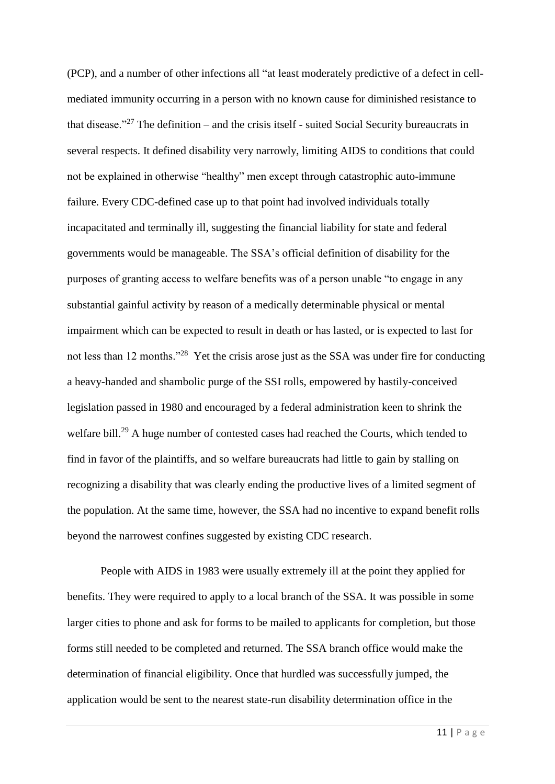(PCP), and a number of other infections all "at least moderately predictive of a defect in cellmediated immunity occurring in a person with no known cause for diminished resistance to that disease."<sup>27</sup> The definition – and the crisis itself - suited Social Security bureaucrats in several respects. It defined disability very narrowly, limiting AIDS to conditions that could not be explained in otherwise "healthy" men except through catastrophic auto-immune failure. Every CDC-defined case up to that point had involved individuals totally incapacitated and terminally ill, suggesting the financial liability for state and federal governments would be manageable. The SSA's official definition of disability for the purposes of granting access to welfare benefits was of a person unable "to engage in any substantial gainful activity by reason of a medically determinable physical or mental impairment which can be expected to result in death or has lasted, or is expected to last for not less than 12 months."<sup>28</sup> Yet the crisis arose just as the SSA was under fire for conducting a heavy-handed and shambolic purge of the SSI rolls, empowered by hastily-conceived legislation passed in 1980 and encouraged by a federal administration keen to shrink the welfare bill.<sup>29</sup> A huge number of contested cases had reached the Courts, which tended to find in favor of the plaintiffs, and so welfare bureaucrats had little to gain by stalling on recognizing a disability that was clearly ending the productive lives of a limited segment of the population. At the same time, however, the SSA had no incentive to expand benefit rolls beyond the narrowest confines suggested by existing CDC research.

People with AIDS in 1983 were usually extremely ill at the point they applied for benefits. They were required to apply to a local branch of the SSA. It was possible in some larger cities to phone and ask for forms to be mailed to applicants for completion, but those forms still needed to be completed and returned. The SSA branch office would make the determination of financial eligibility. Once that hurdled was successfully jumped, the application would be sent to the nearest state-run disability determination office in the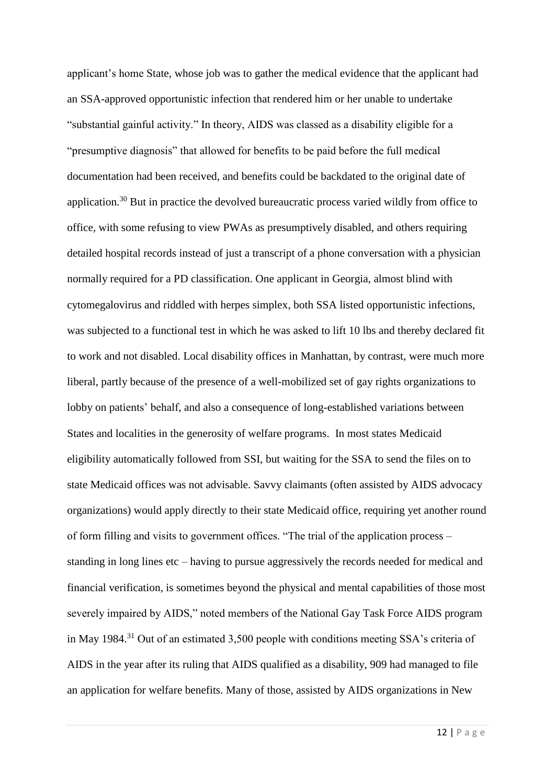applicant's home State, whose job was to gather the medical evidence that the applicant had an SSA-approved opportunistic infection that rendered him or her unable to undertake "substantial gainful activity." In theory, AIDS was classed as a disability eligible for a "presumptive diagnosis" that allowed for benefits to be paid before the full medical documentation had been received, and benefits could be backdated to the original date of application.<sup>30</sup> But in practice the devolved bureaucratic process varied wildly from office to office, with some refusing to view PWAs as presumptively disabled, and others requiring detailed hospital records instead of just a transcript of a phone conversation with a physician normally required for a PD classification. One applicant in Georgia, almost blind with cytomegalovirus and riddled with herpes simplex, both SSA listed opportunistic infections, was subjected to a functional test in which he was asked to lift 10 lbs and thereby declared fit to work and not disabled. Local disability offices in Manhattan, by contrast, were much more liberal, partly because of the presence of a well-mobilized set of gay rights organizations to lobby on patients' behalf, and also a consequence of long-established variations between States and localities in the generosity of welfare programs. In most states Medicaid eligibility automatically followed from SSI, but waiting for the SSA to send the files on to state Medicaid offices was not advisable. Savvy claimants (often assisted by AIDS advocacy organizations) would apply directly to their state Medicaid office, requiring yet another round of form filling and visits to government offices. "The trial of the application process – standing in long lines etc – having to pursue aggressively the records needed for medical and financial verification, is sometimes beyond the physical and mental capabilities of those most severely impaired by AIDS," noted members of the National Gay Task Force AIDS program in May 1984.<sup>31</sup> Out of an estimated 3,500 people with conditions meeting SSA's criteria of AIDS in the year after its ruling that AIDS qualified as a disability, 909 had managed to file an application for welfare benefits. Many of those, assisted by AIDS organizations in New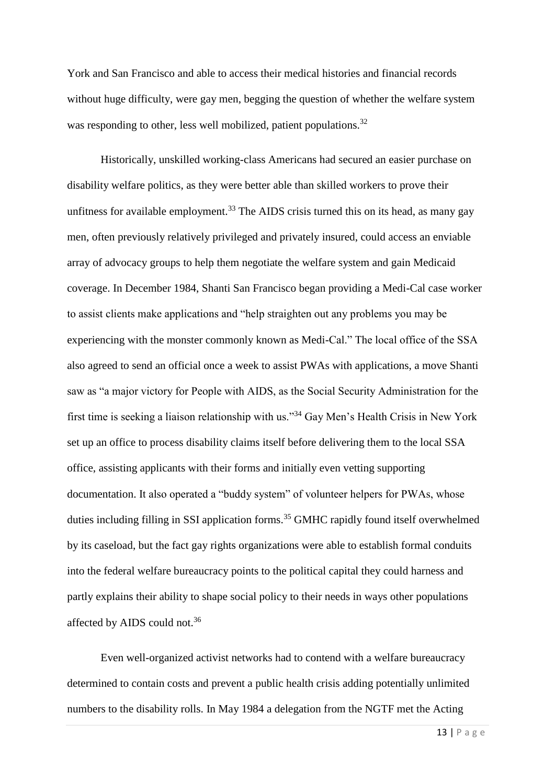York and San Francisco and able to access their medical histories and financial records without huge difficulty, were gay men, begging the question of whether the welfare system was responding to other, less well mobilized, patient populations.<sup>32</sup>

Historically, unskilled working-class Americans had secured an easier purchase on disability welfare politics, as they were better able than skilled workers to prove their unfitness for available employment.<sup>33</sup> The AIDS crisis turned this on its head, as many gay men, often previously relatively privileged and privately insured, could access an enviable array of advocacy groups to help them negotiate the welfare system and gain Medicaid coverage. In December 1984, Shanti San Francisco began providing a Medi-Cal case worker to assist clients make applications and "help straighten out any problems you may be experiencing with the monster commonly known as Medi-Cal." The local office of the SSA also agreed to send an official once a week to assist PWAs with applications, a move Shanti saw as "a major victory for People with AIDS, as the Social Security Administration for the first time is seeking a liaison relationship with us."<sup>34</sup> Gay Men's Health Crisis in New York set up an office to process disability claims itself before delivering them to the local SSA office, assisting applicants with their forms and initially even vetting supporting documentation. It also operated a "buddy system" of volunteer helpers for PWAs, whose duties including filling in SSI application forms.<sup>35</sup> GMHC rapidly found itself overwhelmed by its caseload, but the fact gay rights organizations were able to establish formal conduits into the federal welfare bureaucracy points to the political capital they could harness and partly explains their ability to shape social policy to their needs in ways other populations affected by AIDS could not.<sup>36</sup>

Even well-organized activist networks had to contend with a welfare bureaucracy determined to contain costs and prevent a public health crisis adding potentially unlimited numbers to the disability rolls. In May 1984 a delegation from the NGTF met the Acting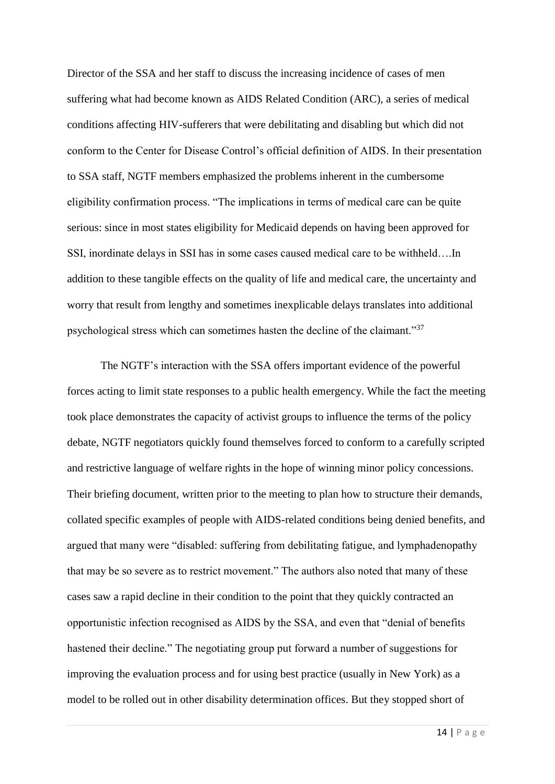Director of the SSA and her staff to discuss the increasing incidence of cases of men suffering what had become known as AIDS Related Condition (ARC), a series of medical conditions affecting HIV-sufferers that were debilitating and disabling but which did not conform to the Center for Disease Control's official definition of AIDS. In their presentation to SSA staff, NGTF members emphasized the problems inherent in the cumbersome eligibility confirmation process. "The implications in terms of medical care can be quite serious: since in most states eligibility for Medicaid depends on having been approved for SSI, inordinate delays in SSI has in some cases caused medical care to be withheld….In addition to these tangible effects on the quality of life and medical care, the uncertainty and worry that result from lengthy and sometimes inexplicable delays translates into additional psychological stress which can sometimes hasten the decline of the claimant."<sup>37</sup>

The NGTF's interaction with the SSA offers important evidence of the powerful forces acting to limit state responses to a public health emergency. While the fact the meeting took place demonstrates the capacity of activist groups to influence the terms of the policy debate, NGTF negotiators quickly found themselves forced to conform to a carefully scripted and restrictive language of welfare rights in the hope of winning minor policy concessions. Their briefing document, written prior to the meeting to plan how to structure their demands, collated specific examples of people with AIDS-related conditions being denied benefits, and argued that many were "disabled: suffering from debilitating fatigue, and lymphadenopathy that may be so severe as to restrict movement." The authors also noted that many of these cases saw a rapid decline in their condition to the point that they quickly contracted an opportunistic infection recognised as AIDS by the SSA, and even that "denial of benefits hastened their decline." The negotiating group put forward a number of suggestions for improving the evaluation process and for using best practice (usually in New York) as a model to be rolled out in other disability determination offices. But they stopped short of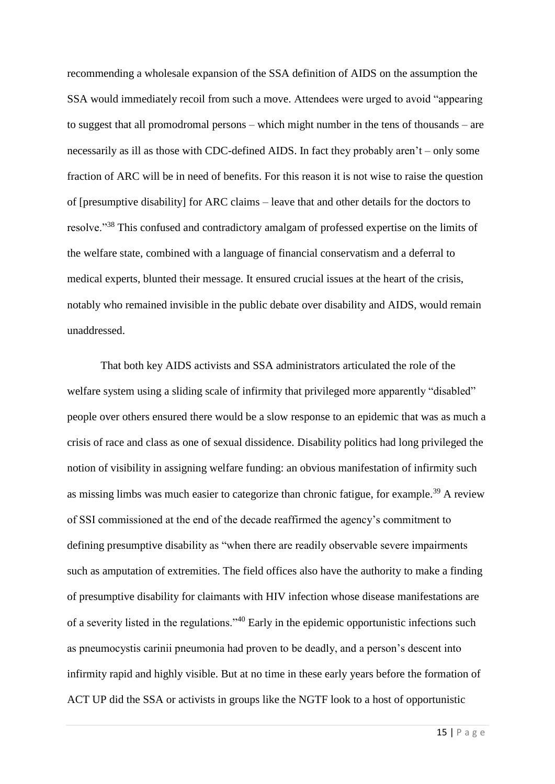recommending a wholesale expansion of the SSA definition of AIDS on the assumption the SSA would immediately recoil from such a move. Attendees were urged to avoid "appearing to suggest that all promodromal persons – which might number in the tens of thousands – are necessarily as ill as those with CDC-defined AIDS. In fact they probably aren't – only some fraction of ARC will be in need of benefits. For this reason it is not wise to raise the question of [presumptive disability] for ARC claims – leave that and other details for the doctors to resolve."<sup>38</sup> This confused and contradictory amalgam of professed expertise on the limits of the welfare state, combined with a language of financial conservatism and a deferral to medical experts, blunted their message. It ensured crucial issues at the heart of the crisis, notably who remained invisible in the public debate over disability and AIDS, would remain unaddressed.

That both key AIDS activists and SSA administrators articulated the role of the welfare system using a sliding scale of infirmity that privileged more apparently "disabled" people over others ensured there would be a slow response to an epidemic that was as much a crisis of race and class as one of sexual dissidence. Disability politics had long privileged the notion of visibility in assigning welfare funding: an obvious manifestation of infirmity such as missing limbs was much easier to categorize than chronic fatigue, for example.<sup>39</sup> A review of SSI commissioned at the end of the decade reaffirmed the agency's commitment to defining presumptive disability as "when there are readily observable severe impairments such as amputation of extremities. The field offices also have the authority to make a finding of presumptive disability for claimants with HIV infection whose disease manifestations are of a severity listed in the regulations."<sup>40</sup> Early in the epidemic opportunistic infections such as pneumocystis carinii pneumonia had proven to be deadly, and a person's descent into infirmity rapid and highly visible. But at no time in these early years before the formation of ACT UP did the SSA or activists in groups like the NGTF look to a host of opportunistic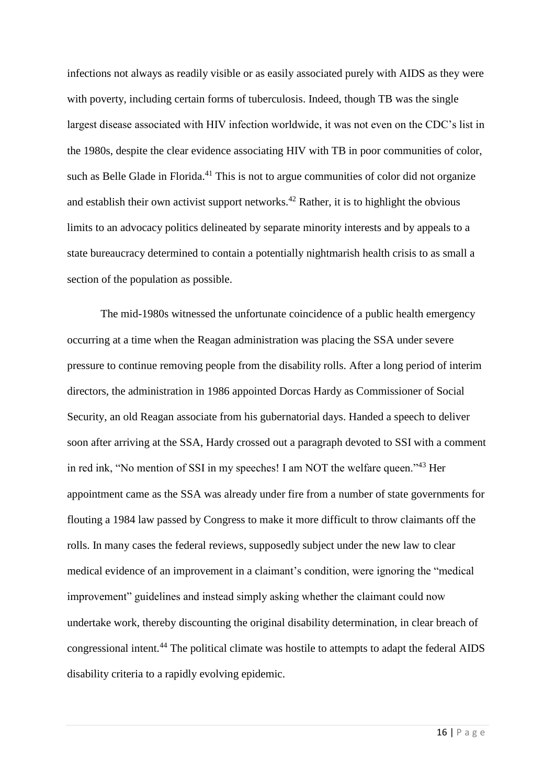infections not always as readily visible or as easily associated purely with AIDS as they were with poverty, including certain forms of tuberculosis. Indeed, though TB was the single largest disease associated with HIV infection worldwide, it was not even on the CDC's list in the 1980s, despite the clear evidence associating HIV with TB in poor communities of color, such as Belle Glade in Florida.<sup>41</sup> This is not to argue communities of color did not organize and establish their own activist support networks.<sup>42</sup> Rather, it is to highlight the obvious limits to an advocacy politics delineated by separate minority interests and by appeals to a state bureaucracy determined to contain a potentially nightmarish health crisis to as small a section of the population as possible.

The mid-1980s witnessed the unfortunate coincidence of a public health emergency occurring at a time when the Reagan administration was placing the SSA under severe pressure to continue removing people from the disability rolls. After a long period of interim directors, the administration in 1986 appointed Dorcas Hardy as Commissioner of Social Security, an old Reagan associate from his gubernatorial days. Handed a speech to deliver soon after arriving at the SSA, Hardy crossed out a paragraph devoted to SSI with a comment in red ink, "No mention of SSI in my speeches! I am NOT the welfare queen."<sup>43</sup> Her appointment came as the SSA was already under fire from a number of state governments for flouting a 1984 law passed by Congress to make it more difficult to throw claimants off the rolls. In many cases the federal reviews, supposedly subject under the new law to clear medical evidence of an improvement in a claimant's condition, were ignoring the "medical improvement" guidelines and instead simply asking whether the claimant could now undertake work, thereby discounting the original disability determination, in clear breach of congressional intent.<sup>44</sup> The political climate was hostile to attempts to adapt the federal AIDS disability criteria to a rapidly evolving epidemic.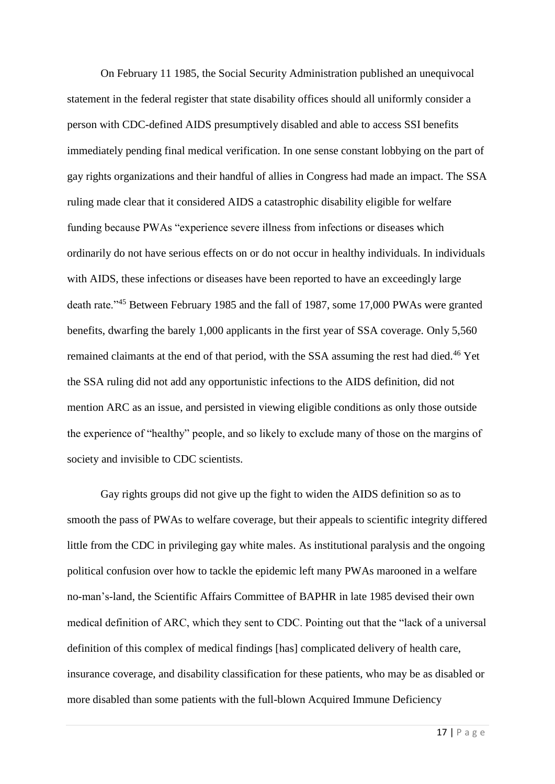On February 11 1985, the Social Security Administration published an unequivocal statement in the federal register that state disability offices should all uniformly consider a person with CDC-defined AIDS presumptively disabled and able to access SSI benefits immediately pending final medical verification. In one sense constant lobbying on the part of gay rights organizations and their handful of allies in Congress had made an impact. The SSA ruling made clear that it considered AIDS a catastrophic disability eligible for welfare funding because PWAs "experience severe illness from infections or diseases which ordinarily do not have serious effects on or do not occur in healthy individuals. In individuals with AIDS, these infections or diseases have been reported to have an exceedingly large death rate."<sup>45</sup> Between February 1985 and the fall of 1987, some 17,000 PWAs were granted benefits, dwarfing the barely 1,000 applicants in the first year of SSA coverage. Only 5,560 remained claimants at the end of that period, with the SSA assuming the rest had died.<sup>46</sup> Yet the SSA ruling did not add any opportunistic infections to the AIDS definition, did not mention ARC as an issue, and persisted in viewing eligible conditions as only those outside the experience of "healthy" people, and so likely to exclude many of those on the margins of society and invisible to CDC scientists.

Gay rights groups did not give up the fight to widen the AIDS definition so as to smooth the pass of PWAs to welfare coverage, but their appeals to scientific integrity differed little from the CDC in privileging gay white males. As institutional paralysis and the ongoing political confusion over how to tackle the epidemic left many PWAs marooned in a welfare no-man's-land, the Scientific Affairs Committee of BAPHR in late 1985 devised their own medical definition of ARC, which they sent to CDC. Pointing out that the "lack of a universal definition of this complex of medical findings [has] complicated delivery of health care, insurance coverage, and disability classification for these patients, who may be as disabled or more disabled than some patients with the full-blown Acquired Immune Deficiency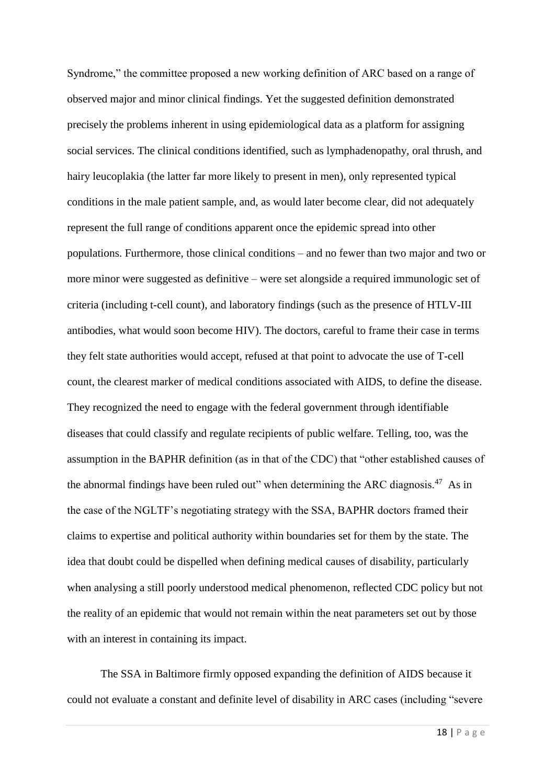Syndrome," the committee proposed a new working definition of ARC based on a range of observed major and minor clinical findings. Yet the suggested definition demonstrated precisely the problems inherent in using epidemiological data as a platform for assigning social services. The clinical conditions identified, such as lymphadenopathy, oral thrush, and hairy leucoplakia (the latter far more likely to present in men), only represented typical conditions in the male patient sample, and, as would later become clear, did not adequately represent the full range of conditions apparent once the epidemic spread into other populations. Furthermore, those clinical conditions – and no fewer than two major and two or more minor were suggested as definitive – were set alongside a required immunologic set of criteria (including t-cell count), and laboratory findings (such as the presence of HTLV-III antibodies, what would soon become HIV). The doctors, careful to frame their case in terms they felt state authorities would accept, refused at that point to advocate the use of T-cell count, the clearest marker of medical conditions associated with AIDS, to define the disease. They recognized the need to engage with the federal government through identifiable diseases that could classify and regulate recipients of public welfare. Telling, too, was the assumption in the BAPHR definition (as in that of the CDC) that "other established causes of the abnormal findings have been ruled out" when determining the ARC diagnosis.<sup>47</sup> As in the case of the NGLTF's negotiating strategy with the SSA, BAPHR doctors framed their claims to expertise and political authority within boundaries set for them by the state. The idea that doubt could be dispelled when defining medical causes of disability, particularly when analysing a still poorly understood medical phenomenon, reflected CDC policy but not the reality of an epidemic that would not remain within the neat parameters set out by those with an interest in containing its impact.

The SSA in Baltimore firmly opposed expanding the definition of AIDS because it could not evaluate a constant and definite level of disability in ARC cases (including "severe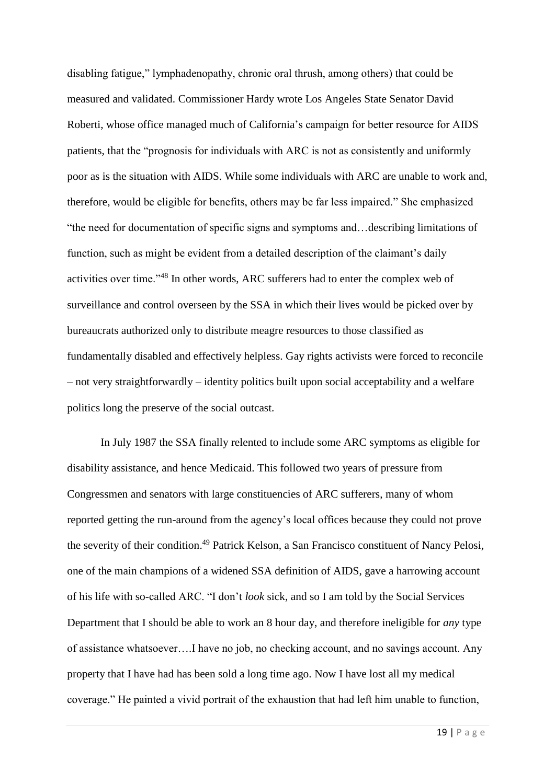disabling fatigue," lymphadenopathy, chronic oral thrush, among others) that could be measured and validated. Commissioner Hardy wrote Los Angeles State Senator David Roberti, whose office managed much of California's campaign for better resource for AIDS patients, that the "prognosis for individuals with ARC is not as consistently and uniformly poor as is the situation with AIDS. While some individuals with ARC are unable to work and, therefore, would be eligible for benefits, others may be far less impaired." She emphasized "the need for documentation of specific signs and symptoms and…describing limitations of function, such as might be evident from a detailed description of the claimant's daily activities over time."<sup>48</sup> In other words, ARC sufferers had to enter the complex web of surveillance and control overseen by the SSA in which their lives would be picked over by bureaucrats authorized only to distribute meagre resources to those classified as fundamentally disabled and effectively helpless. Gay rights activists were forced to reconcile – not very straightforwardly – identity politics built upon social acceptability and a welfare politics long the preserve of the social outcast.

In July 1987 the SSA finally relented to include some ARC symptoms as eligible for disability assistance, and hence Medicaid. This followed two years of pressure from Congressmen and senators with large constituencies of ARC sufferers, many of whom reported getting the run-around from the agency's local offices because they could not prove the severity of their condition. <sup>49</sup> Patrick Kelson, a San Francisco constituent of Nancy Pelosi, one of the main champions of a widened SSA definition of AIDS, gave a harrowing account of his life with so-called ARC. "I don't *look* sick, and so I am told by the Social Services Department that I should be able to work an 8 hour day, and therefore ineligible for *any* type of assistance whatsoever….I have no job, no checking account, and no savings account. Any property that I have had has been sold a long time ago. Now I have lost all my medical coverage." He painted a vivid portrait of the exhaustion that had left him unable to function,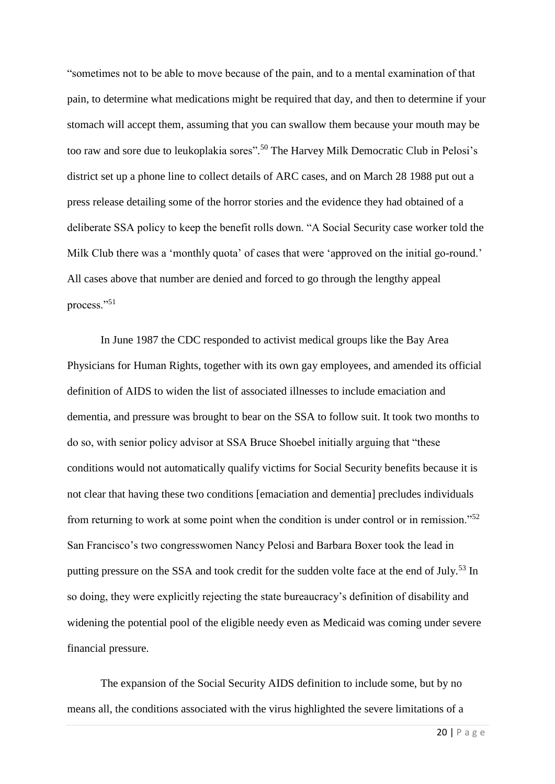"sometimes not to be able to move because of the pain, and to a mental examination of that pain, to determine what medications might be required that day, and then to determine if your stomach will accept them, assuming that you can swallow them because your mouth may be too raw and sore due to leukoplakia sores".<sup>50</sup> The Harvey Milk Democratic Club in Pelosi's district set up a phone line to collect details of ARC cases, and on March 28 1988 put out a press release detailing some of the horror stories and the evidence they had obtained of a deliberate SSA policy to keep the benefit rolls down. "A Social Security case worker told the Milk Club there was a 'monthly quota' of cases that were 'approved on the initial go-round.' All cases above that number are denied and forced to go through the lengthy appeal process."<sup>51</sup>

In June 1987 the CDC responded to activist medical groups like the Bay Area Physicians for Human Rights, together with its own gay employees, and amended its official definition of AIDS to widen the list of associated illnesses to include emaciation and dementia, and pressure was brought to bear on the SSA to follow suit. It took two months to do so, with senior policy advisor at SSA Bruce Shoebel initially arguing that "these conditions would not automatically qualify victims for Social Security benefits because it is not clear that having these two conditions [emaciation and dementia] precludes individuals from returning to work at some point when the condition is under control or in remission."<sup>52</sup> San Francisco's two congresswomen Nancy Pelosi and Barbara Boxer took the lead in putting pressure on the SSA and took credit for the sudden volte face at the end of July.<sup>53</sup> In so doing, they were explicitly rejecting the state bureaucracy's definition of disability and widening the potential pool of the eligible needy even as Medicaid was coming under severe financial pressure.

The expansion of the Social Security AIDS definition to include some, but by no means all, the conditions associated with the virus highlighted the severe limitations of a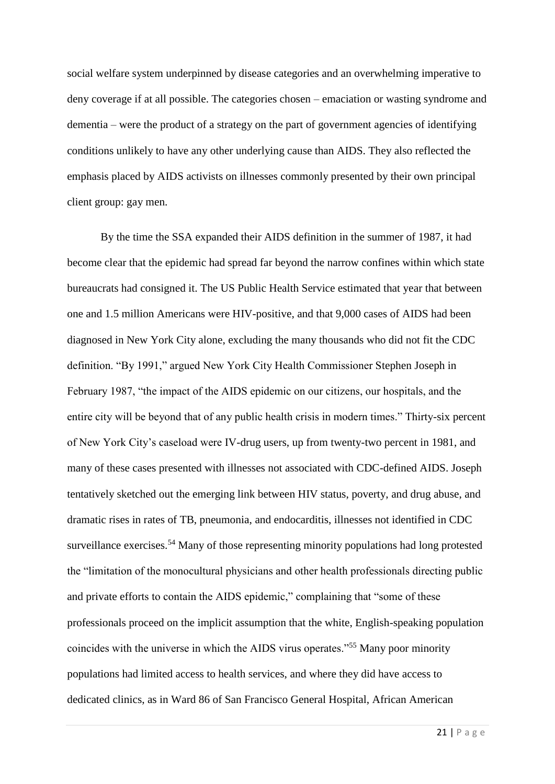social welfare system underpinned by disease categories and an overwhelming imperative to deny coverage if at all possible. The categories chosen – emaciation or wasting syndrome and dementia – were the product of a strategy on the part of government agencies of identifying conditions unlikely to have any other underlying cause than AIDS. They also reflected the emphasis placed by AIDS activists on illnesses commonly presented by their own principal client group: gay men.

By the time the SSA expanded their AIDS definition in the summer of 1987, it had become clear that the epidemic had spread far beyond the narrow confines within which state bureaucrats had consigned it. The US Public Health Service estimated that year that between one and 1.5 million Americans were HIV-positive, and that 9,000 cases of AIDS had been diagnosed in New York City alone, excluding the many thousands who did not fit the CDC definition. "By 1991," argued New York City Health Commissioner Stephen Joseph in February 1987, "the impact of the AIDS epidemic on our citizens, our hospitals, and the entire city will be beyond that of any public health crisis in modern times." Thirty-six percent of New York City's caseload were IV-drug users, up from twenty-two percent in 1981, and many of these cases presented with illnesses not associated with CDC-defined AIDS. Joseph tentatively sketched out the emerging link between HIV status, poverty, and drug abuse, and dramatic rises in rates of TB, pneumonia, and endocarditis, illnesses not identified in CDC surveillance exercises.<sup>54</sup> Many of those representing minority populations had long protested the "limitation of the monocultural physicians and other health professionals directing public and private efforts to contain the AIDS epidemic," complaining that "some of these professionals proceed on the implicit assumption that the white, English-speaking population coincides with the universe in which the AIDS virus operates."<sup>55</sup> Many poor minority populations had limited access to health services, and where they did have access to dedicated clinics, as in Ward 86 of San Francisco General Hospital, African American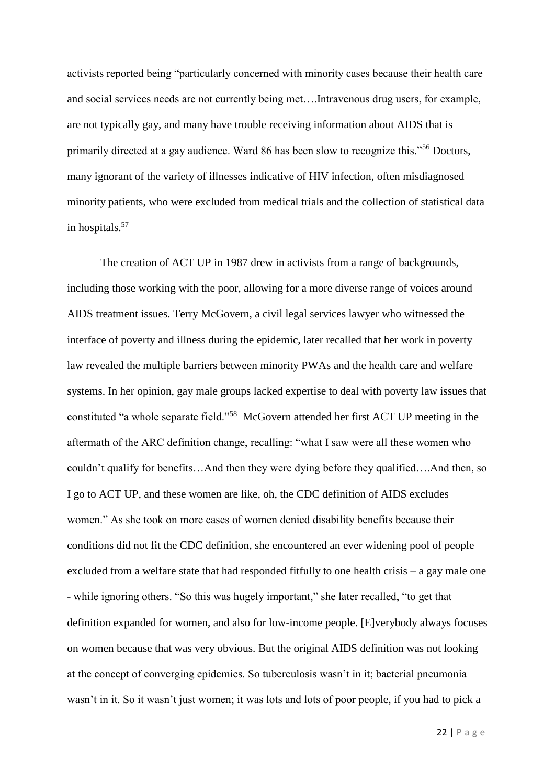activists reported being "particularly concerned with minority cases because their health care and social services needs are not currently being met….Intravenous drug users, for example, are not typically gay, and many have trouble receiving information about AIDS that is primarily directed at a gay audience. Ward 86 has been slow to recognize this."<sup>56</sup> Doctors, many ignorant of the variety of illnesses indicative of HIV infection, often misdiagnosed minority patients, who were excluded from medical trials and the collection of statistical data in hospitals.<sup>57</sup>

The creation of ACT UP in 1987 drew in activists from a range of backgrounds, including those working with the poor, allowing for a more diverse range of voices around AIDS treatment issues. Terry McGovern, a civil legal services lawyer who witnessed the interface of poverty and illness during the epidemic, later recalled that her work in poverty law revealed the multiple barriers between minority PWAs and the health care and welfare systems. In her opinion, gay male groups lacked expertise to deal with poverty law issues that constituted "a whole separate field."<sup>58</sup> McGovern attended her first ACT UP meeting in the aftermath of the ARC definition change, recalling: "what I saw were all these women who couldn't qualify for benefits…And then they were dying before they qualified….And then, so I go to ACT UP, and these women are like, oh, the CDC definition of AIDS excludes women." As she took on more cases of women denied disability benefits because their conditions did not fit the CDC definition, she encountered an ever widening pool of people excluded from a welfare state that had responded fitfully to one health crisis – a gay male one - while ignoring others. "So this was hugely important," she later recalled, "to get that definition expanded for women, and also for low-income people. [E]verybody always focuses on women because that was very obvious. But the original AIDS definition was not looking at the concept of converging epidemics. So tuberculosis wasn't in it; bacterial pneumonia wasn't in it. So it wasn't just women; it was lots and lots of poor people, if you had to pick a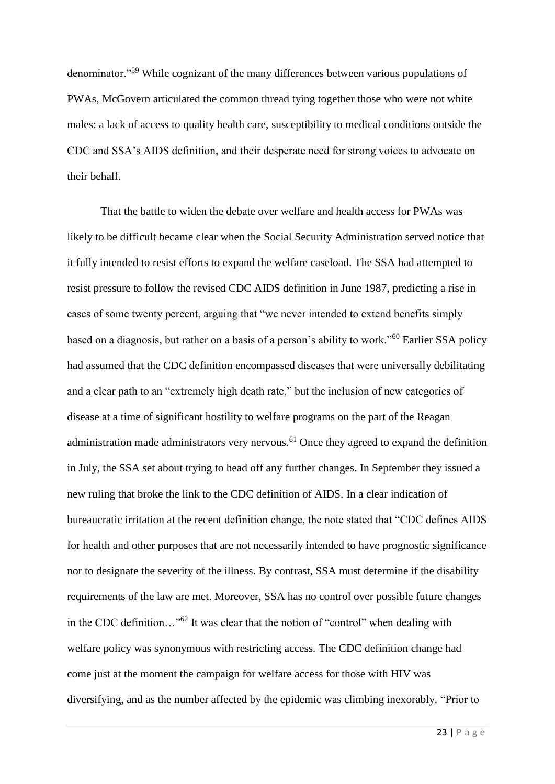denominator."<sup>59</sup> While cognizant of the many differences between various populations of PWAs, McGovern articulated the common thread tying together those who were not white males: a lack of access to quality health care, susceptibility to medical conditions outside the CDC and SSA's AIDS definition, and their desperate need for strong voices to advocate on their behalf.

That the battle to widen the debate over welfare and health access for PWAs was likely to be difficult became clear when the Social Security Administration served notice that it fully intended to resist efforts to expand the welfare caseload. The SSA had attempted to resist pressure to follow the revised CDC AIDS definition in June 1987, predicting a rise in cases of some twenty percent, arguing that "we never intended to extend benefits simply based on a diagnosis, but rather on a basis of a person's ability to work."<sup>60</sup> Earlier SSA policy had assumed that the CDC definition encompassed diseases that were universally debilitating and a clear path to an "extremely high death rate," but the inclusion of new categories of disease at a time of significant hostility to welfare programs on the part of the Reagan administration made administrators very nervous.<sup>61</sup> Once they agreed to expand the definition in July, the SSA set about trying to head off any further changes. In September they issued a new ruling that broke the link to the CDC definition of AIDS. In a clear indication of bureaucratic irritation at the recent definition change, the note stated that "CDC defines AIDS for health and other purposes that are not necessarily intended to have prognostic significance nor to designate the severity of the illness. By contrast, SSA must determine if the disability requirements of the law are met. Moreover, SSA has no control over possible future changes in the CDC definition…"<sup>62</sup> It was clear that the notion of "control" when dealing with welfare policy was synonymous with restricting access. The CDC definition change had come just at the moment the campaign for welfare access for those with HIV was diversifying, and as the number affected by the epidemic was climbing inexorably. "Prior to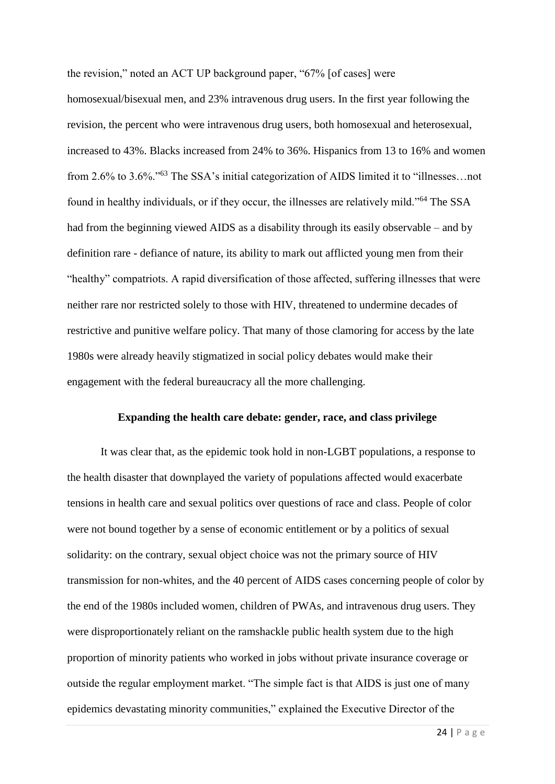the revision," noted an ACT UP background paper, "67% [of cases] were

homosexual/bisexual men, and 23% intravenous drug users. In the first year following the revision, the percent who were intravenous drug users, both homosexual and heterosexual, increased to 43%. Blacks increased from 24% to 36%. Hispanics from 13 to 16% and women from 2.6% to 3.6%."<sup>63</sup> The SSA's initial categorization of AIDS limited it to "illnesses…not found in healthy individuals, or if they occur, the illnesses are relatively mild."<sup>64</sup> The SSA had from the beginning viewed AIDS as a disability through its easily observable – and by definition rare - defiance of nature, its ability to mark out afflicted young men from their "healthy" compatriots. A rapid diversification of those affected, suffering illnesses that were neither rare nor restricted solely to those with HIV, threatened to undermine decades of restrictive and punitive welfare policy. That many of those clamoring for access by the late 1980s were already heavily stigmatized in social policy debates would make their engagement with the federal bureaucracy all the more challenging.

#### **Expanding the health care debate: gender, race, and class privilege**

It was clear that, as the epidemic took hold in non-LGBT populations, a response to the health disaster that downplayed the variety of populations affected would exacerbate tensions in health care and sexual politics over questions of race and class. People of color were not bound together by a sense of economic entitlement or by a politics of sexual solidarity: on the contrary, sexual object choice was not the primary source of HIV transmission for non-whites, and the 40 percent of AIDS cases concerning people of color by the end of the 1980s included women, children of PWAs, and intravenous drug users. They were disproportionately reliant on the ramshackle public health system due to the high proportion of minority patients who worked in jobs without private insurance coverage or outside the regular employment market. "The simple fact is that AIDS is just one of many epidemics devastating minority communities," explained the Executive Director of the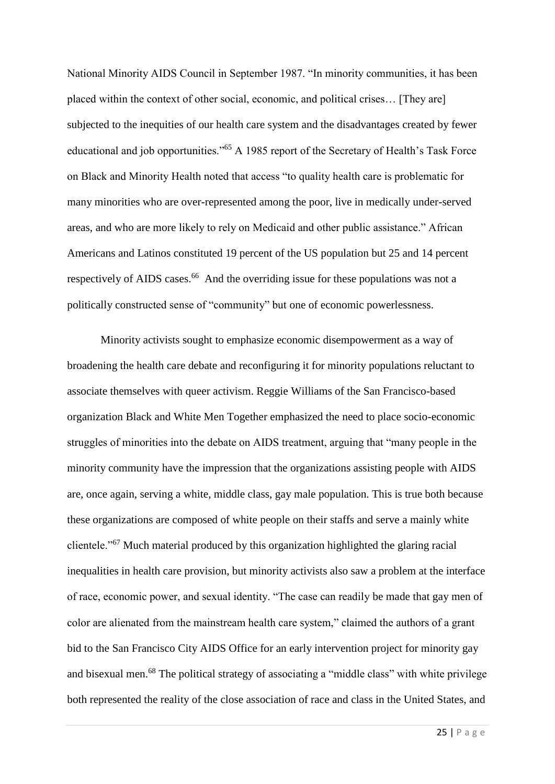National Minority AIDS Council in September 1987. "In minority communities, it has been placed within the context of other social, economic, and political crises… [They are] subjected to the inequities of our health care system and the disadvantages created by fewer educational and job opportunities."<sup>65</sup> A 1985 report of the Secretary of Health's Task Force on Black and Minority Health noted that access "to quality health care is problematic for many minorities who are over-represented among the poor, live in medically under-served areas, and who are more likely to rely on Medicaid and other public assistance." African Americans and Latinos constituted 19 percent of the US population but 25 and 14 percent respectively of AIDS cases.<sup>66</sup> And the overriding issue for these populations was not a politically constructed sense of "community" but one of economic powerlessness.

Minority activists sought to emphasize economic disempowerment as a way of broadening the health care debate and reconfiguring it for minority populations reluctant to associate themselves with queer activism. Reggie Williams of the San Francisco-based organization Black and White Men Together emphasized the need to place socio-economic struggles of minorities into the debate on AIDS treatment, arguing that "many people in the minority community have the impression that the organizations assisting people with AIDS are, once again, serving a white, middle class, gay male population. This is true both because these organizations are composed of white people on their staffs and serve a mainly white clientele."<sup>67</sup> Much material produced by this organization highlighted the glaring racial inequalities in health care provision, but minority activists also saw a problem at the interface of race, economic power, and sexual identity. "The case can readily be made that gay men of color are alienated from the mainstream health care system," claimed the authors of a grant bid to the San Francisco City AIDS Office for an early intervention project for minority gay and bisexual men.<sup>68</sup> The political strategy of associating a "middle class" with white privilege both represented the reality of the close association of race and class in the United States, and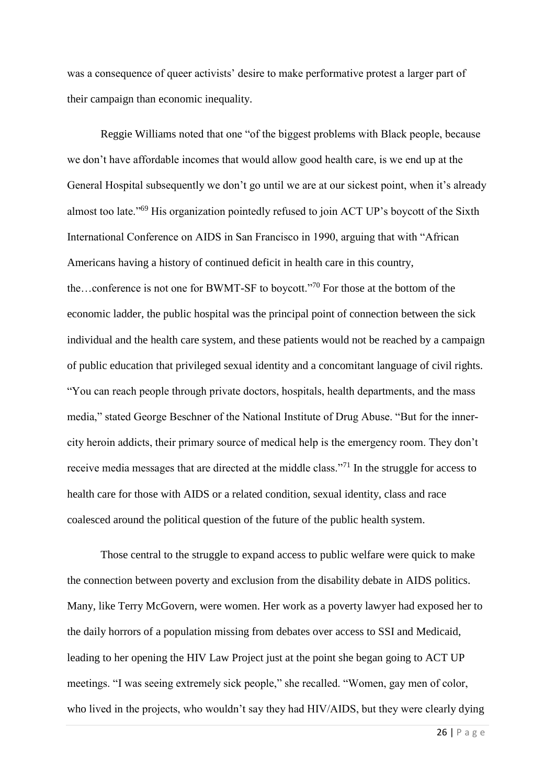was a consequence of queer activists' desire to make performative protest a larger part of their campaign than economic inequality.

Reggie Williams noted that one "of the biggest problems with Black people, because we don't have affordable incomes that would allow good health care, is we end up at the General Hospital subsequently we don't go until we are at our sickest point, when it's already almost too late."<sup>69</sup> His organization pointedly refused to join ACT UP's boycott of the Sixth International Conference on AIDS in San Francisco in 1990, arguing that with "African Americans having a history of continued deficit in health care in this country, the…conference is not one for BWMT-SF to boycott."<sup>70</sup> For those at the bottom of the economic ladder, the public hospital was the principal point of connection between the sick individual and the health care system, and these patients would not be reached by a campaign of public education that privileged sexual identity and a concomitant language of civil rights. "You can reach people through private doctors, hospitals, health departments, and the mass media," stated George Beschner of the National Institute of Drug Abuse. "But for the innercity heroin addicts, their primary source of medical help is the emergency room. They don't receive media messages that are directed at the middle class."<sup>71</sup> In the struggle for access to health care for those with AIDS or a related condition, sexual identity, class and race coalesced around the political question of the future of the public health system.

Those central to the struggle to expand access to public welfare were quick to make the connection between poverty and exclusion from the disability debate in AIDS politics. Many, like Terry McGovern, were women. Her work as a poverty lawyer had exposed her to the daily horrors of a population missing from debates over access to SSI and Medicaid, leading to her opening the HIV Law Project just at the point she began going to ACT UP meetings. "I was seeing extremely sick people," she recalled. "Women, gay men of color, who lived in the projects, who wouldn't say they had HIV/AIDS, but they were clearly dying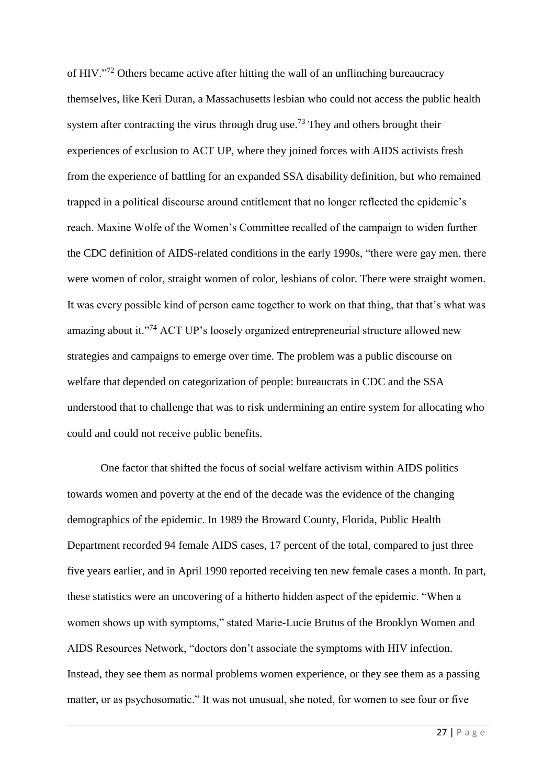of HIV."<sup>72</sup> Others became active after hitting the wall of an unflinching bureaucracy themselves, like Keri Duran, a Massachusetts lesbian who could not access the public health system after contracting the virus through drug use.<sup>73</sup> They and others brought their experiences of exclusion to ACT UP, where they joined forces with AIDS activists fresh from the experience of battling for an expanded SSA disability definition, but who remained trapped in a political discourse around entitlement that no longer reflected the epidemic's reach. Maxine Wolfe of the Women's Committee recalled of the campaign to widen further the CDC definition of AIDS-related conditions in the early 1990s, "there were gay men, there were women of color, straight women of color, lesbians of color. There were straight women. It was every possible kind of person came together to work on that thing, that that's what was amazing about it."<sup>74</sup> ACT UP's loosely organized entrepreneurial structure allowed new strategies and campaigns to emerge over time. The problem was a public discourse on welfare that depended on categorization of people: bureaucrats in CDC and the SSA understood that to challenge that was to risk undermining an entire system for allocating who could and could not receive public benefits.

One factor that shifted the focus of social welfare activism within AIDS politics towards women and poverty at the end of the decade was the evidence of the changing demographics of the epidemic. In 1989 the Broward County, Florida, Public Health Department recorded 94 female AIDS cases, 17 percent of the total, compared to just three five years earlier, and in April 1990 reported receiving ten new female cases a month. In part, these statistics were an uncovering of a hitherto hidden aspect of the epidemic. "When a women shows up with symptoms," stated Marie-Lucie Brutus of the Brooklyn Women and AIDS Resources Network, "doctors don't associate the symptoms with HIV infection. Instead, they see them as normal problems women experience, or they see them as a passing matter, or as psychosomatic." It was not unusual, she noted, for women to see four or five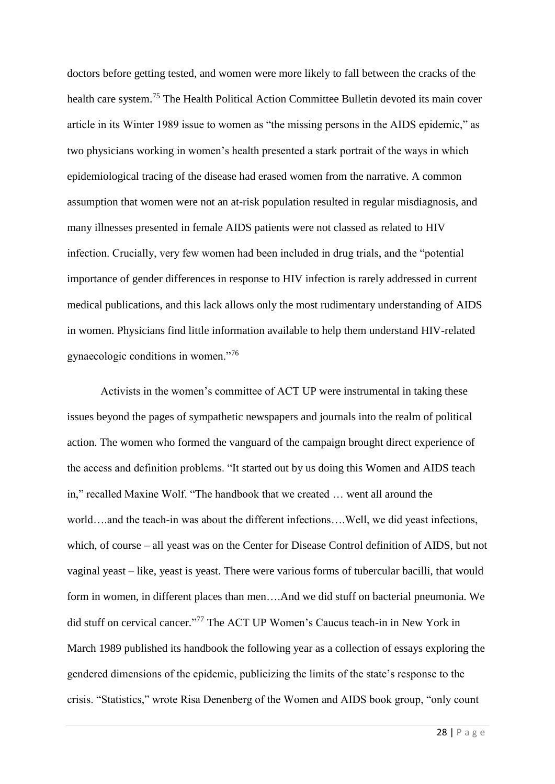doctors before getting tested, and women were more likely to fall between the cracks of the health care system.<sup>75</sup> The Health Political Action Committee Bulletin devoted its main cover article in its Winter 1989 issue to women as "the missing persons in the AIDS epidemic," as two physicians working in women's health presented a stark portrait of the ways in which epidemiological tracing of the disease had erased women from the narrative. A common assumption that women were not an at-risk population resulted in regular misdiagnosis, and many illnesses presented in female AIDS patients were not classed as related to HIV infection. Crucially, very few women had been included in drug trials, and the "potential importance of gender differences in response to HIV infection is rarely addressed in current medical publications, and this lack allows only the most rudimentary understanding of AIDS in women. Physicians find little information available to help them understand HIV-related gynaecologic conditions in women."<sup>76</sup>

Activists in the women's committee of ACT UP were instrumental in taking these issues beyond the pages of sympathetic newspapers and journals into the realm of political action. The women who formed the vanguard of the campaign brought direct experience of the access and definition problems. "It started out by us doing this Women and AIDS teach in," recalled Maxine Wolf. "The handbook that we created … went all around the world….and the teach-in was about the different infections….Well, we did yeast infections, which, of course – all yeast was on the Center for Disease Control definition of AIDS, but not vaginal yeast – like, yeast is yeast. There were various forms of tubercular bacilli, that would form in women, in different places than men….And we did stuff on bacterial pneumonia. We did stuff on cervical cancer." <sup>77</sup> The ACT UP Women's Caucus teach-in in New York in March 1989 published its handbook the following year as a collection of essays exploring the gendered dimensions of the epidemic, publicizing the limits of the state's response to the crisis. "Statistics," wrote Risa Denenberg of the Women and AIDS book group, "only count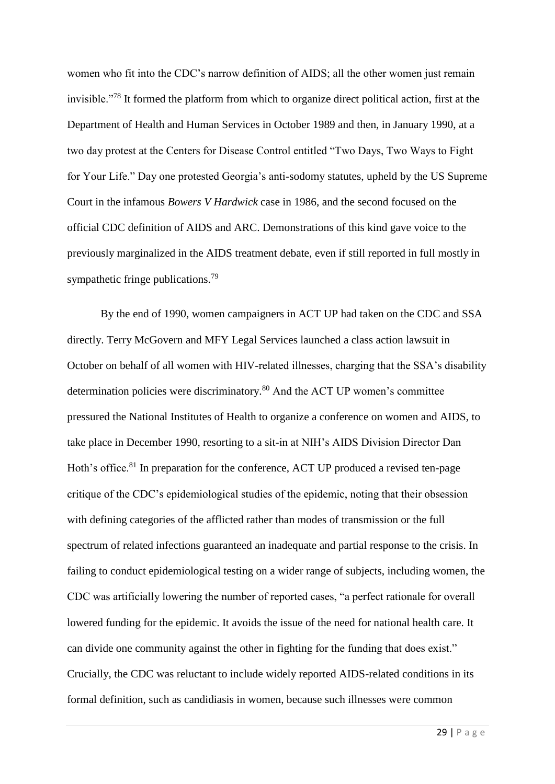women who fit into the CDC's narrow definition of AIDS; all the other women just remain invisible."<sup>78</sup> It formed the platform from which to organize direct political action, first at the Department of Health and Human Services in October 1989 and then, in January 1990, at a two day protest at the Centers for Disease Control entitled "Two Days, Two Ways to Fight for Your Life." Day one protested Georgia's anti-sodomy statutes, upheld by the US Supreme Court in the infamous *Bowers V Hardwick* case in 1986, and the second focused on the official CDC definition of AIDS and ARC. Demonstrations of this kind gave voice to the previously marginalized in the AIDS treatment debate, even if still reported in full mostly in sympathetic fringe publications.<sup>79</sup>

By the end of 1990, women campaigners in ACT UP had taken on the CDC and SSA directly. Terry McGovern and MFY Legal Services launched a class action lawsuit in October on behalf of all women with HIV-related illnesses, charging that the SSA's disability determination policies were discriminatory.<sup>80</sup> And the ACT UP women's committee pressured the National Institutes of Health to organize a conference on women and AIDS, to take place in December 1990, resorting to a sit-in at NIH's AIDS Division Director Dan Hoth's office.<sup>81</sup> In preparation for the conference, ACT UP produced a revised ten-page critique of the CDC's epidemiological studies of the epidemic, noting that their obsession with defining categories of the afflicted rather than modes of transmission or the full spectrum of related infections guaranteed an inadequate and partial response to the crisis. In failing to conduct epidemiological testing on a wider range of subjects, including women, the CDC was artificially lowering the number of reported cases, "a perfect rationale for overall lowered funding for the epidemic. It avoids the issue of the need for national health care. It can divide one community against the other in fighting for the funding that does exist." Crucially, the CDC was reluctant to include widely reported AIDS-related conditions in its formal definition, such as candidiasis in women, because such illnesses were common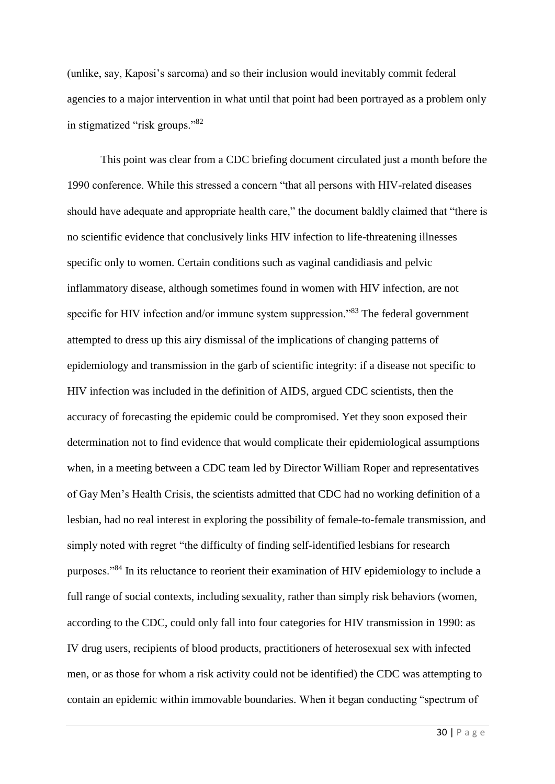(unlike, say, Kaposi's sarcoma) and so their inclusion would inevitably commit federal agencies to a major intervention in what until that point had been portrayed as a problem only in stigmatized "risk groups."<sup>82</sup>

This point was clear from a CDC briefing document circulated just a month before the 1990 conference. While this stressed a concern "that all persons with HIV-related diseases should have adequate and appropriate health care," the document baldly claimed that "there is no scientific evidence that conclusively links HIV infection to life-threatening illnesses specific only to women. Certain conditions such as vaginal candidiasis and pelvic inflammatory disease, although sometimes found in women with HIV infection, are not specific for HIV infection and/or immune system suppression."<sup>83</sup> The federal government attempted to dress up this airy dismissal of the implications of changing patterns of epidemiology and transmission in the garb of scientific integrity: if a disease not specific to HIV infection was included in the definition of AIDS, argued CDC scientists, then the accuracy of forecasting the epidemic could be compromised. Yet they soon exposed their determination not to find evidence that would complicate their epidemiological assumptions when, in a meeting between a CDC team led by Director William Roper and representatives of Gay Men's Health Crisis, the scientists admitted that CDC had no working definition of a lesbian, had no real interest in exploring the possibility of female-to-female transmission, and simply noted with regret "the difficulty of finding self-identified lesbians for research purposes."<sup>84</sup> In its reluctance to reorient their examination of HIV epidemiology to include a full range of social contexts, including sexuality, rather than simply risk behaviors (women, according to the CDC, could only fall into four categories for HIV transmission in 1990: as IV drug users, recipients of blood products, practitioners of heterosexual sex with infected men, or as those for whom a risk activity could not be identified) the CDC was attempting to contain an epidemic within immovable boundaries. When it began conducting "spectrum of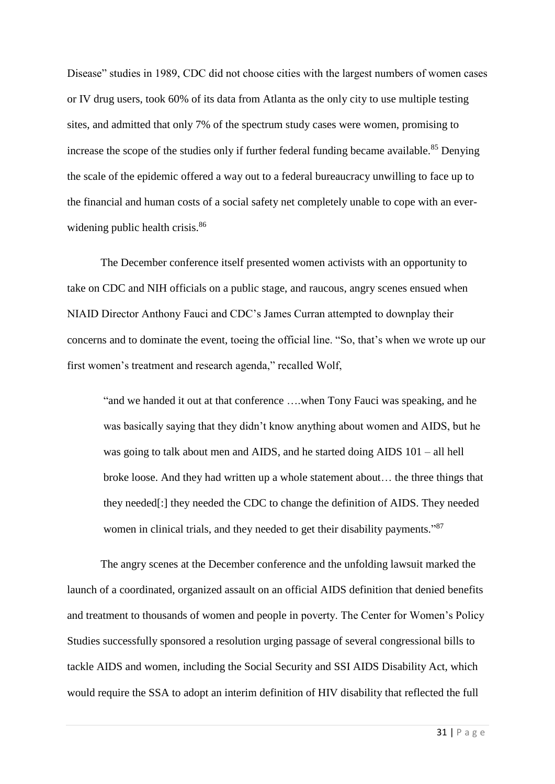Disease" studies in 1989, CDC did not choose cities with the largest numbers of women cases or IV drug users, took 60% of its data from Atlanta as the only city to use multiple testing sites, and admitted that only 7% of the spectrum study cases were women, promising to increase the scope of the studies only if further federal funding became available.<sup>85</sup> Denying the scale of the epidemic offered a way out to a federal bureaucracy unwilling to face up to the financial and human costs of a social safety net completely unable to cope with an everwidening public health crisis.<sup>86</sup>

The December conference itself presented women activists with an opportunity to take on CDC and NIH officials on a public stage, and raucous, angry scenes ensued when NIAID Director Anthony Fauci and CDC's James Curran attempted to downplay their concerns and to dominate the event, toeing the official line. "So, that's when we wrote up our first women's treatment and research agenda," recalled Wolf,

"and we handed it out at that conference ….when Tony Fauci was speaking, and he was basically saying that they didn't know anything about women and AIDS, but he was going to talk about men and AIDS, and he started doing AIDS 101 – all hell broke loose. And they had written up a whole statement about… the three things that they needed[:] they needed the CDC to change the definition of AIDS. They needed women in clinical trials, and they needed to get their disability payments."<sup>87</sup>

The angry scenes at the December conference and the unfolding lawsuit marked the launch of a coordinated, organized assault on an official AIDS definition that denied benefits and treatment to thousands of women and people in poverty. The Center for Women's Policy Studies successfully sponsored a resolution urging passage of several congressional bills to tackle AIDS and women, including the Social Security and SSI AIDS Disability Act, which would require the SSA to adopt an interim definition of HIV disability that reflected the full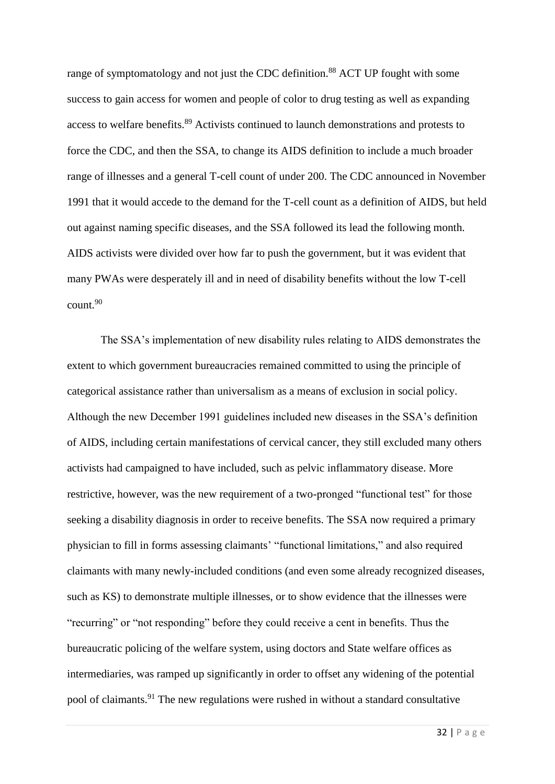range of symptomatology and not just the CDC definition.<sup>88</sup> ACT UP fought with some success to gain access for women and people of color to drug testing as well as expanding access to welfare benefits.<sup>89</sup> Activists continued to launch demonstrations and protests to force the CDC, and then the SSA, to change its AIDS definition to include a much broader range of illnesses and a general T-cell count of under 200. The CDC announced in November 1991 that it would accede to the demand for the T-cell count as a definition of AIDS, but held out against naming specific diseases, and the SSA followed its lead the following month. AIDS activists were divided over how far to push the government, but it was evident that many PWAs were desperately ill and in need of disability benefits without the low T-cell count.<sup>90</sup>

The SSA's implementation of new disability rules relating to AIDS demonstrates the extent to which government bureaucracies remained committed to using the principle of categorical assistance rather than universalism as a means of exclusion in social policy. Although the new December 1991 guidelines included new diseases in the SSA's definition of AIDS, including certain manifestations of cervical cancer, they still excluded many others activists had campaigned to have included, such as pelvic inflammatory disease. More restrictive, however, was the new requirement of a two-pronged "functional test" for those seeking a disability diagnosis in order to receive benefits. The SSA now required a primary physician to fill in forms assessing claimants' "functional limitations," and also required claimants with many newly-included conditions (and even some already recognized diseases, such as KS) to demonstrate multiple illnesses, or to show evidence that the illnesses were "recurring" or "not responding" before they could receive a cent in benefits. Thus the bureaucratic policing of the welfare system, using doctors and State welfare offices as intermediaries, was ramped up significantly in order to offset any widening of the potential pool of claimants.<sup>91</sup> The new regulations were rushed in without a standard consultative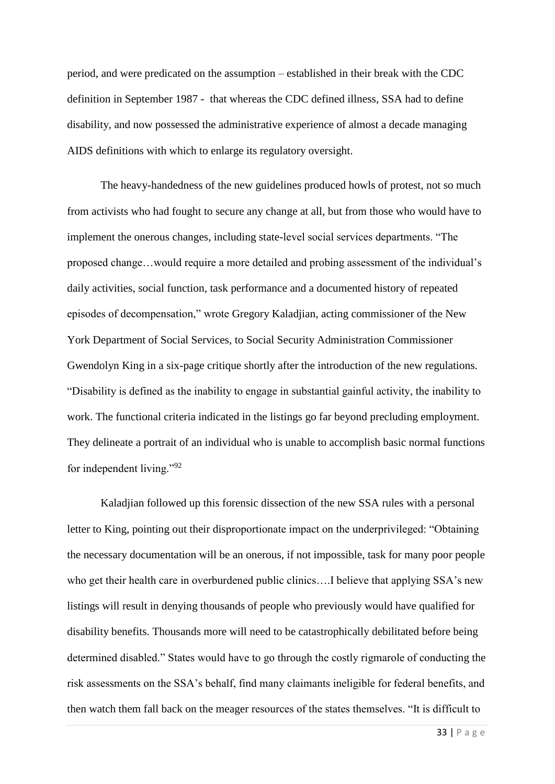period, and were predicated on the assumption – established in their break with the CDC definition in September 1987 - that whereas the CDC defined illness, SSA had to define disability, and now possessed the administrative experience of almost a decade managing AIDS definitions with which to enlarge its regulatory oversight.

The heavy-handedness of the new guidelines produced howls of protest, not so much from activists who had fought to secure any change at all, but from those who would have to implement the onerous changes, including state-level social services departments. "The proposed change…would require a more detailed and probing assessment of the individual's daily activities, social function, task performance and a documented history of repeated episodes of decompensation," wrote Gregory Kaladjian, acting commissioner of the New York Department of Social Services, to Social Security Administration Commissioner Gwendolyn King in a six-page critique shortly after the introduction of the new regulations. "Disability is defined as the inability to engage in substantial gainful activity, the inability to work. The functional criteria indicated in the listings go far beyond precluding employment. They delineate a portrait of an individual who is unable to accomplish basic normal functions for independent living."<sup>92</sup>

Kaladjian followed up this forensic dissection of the new SSA rules with a personal letter to King, pointing out their disproportionate impact on the underprivileged: "Obtaining the necessary documentation will be an onerous, if not impossible, task for many poor people who get their health care in overburdened public clinics....I believe that applying SSA's new listings will result in denying thousands of people who previously would have qualified for disability benefits. Thousands more will need to be catastrophically debilitated before being determined disabled." States would have to go through the costly rigmarole of conducting the risk assessments on the SSA's behalf, find many claimants ineligible for federal benefits, and then watch them fall back on the meager resources of the states themselves. "It is difficult to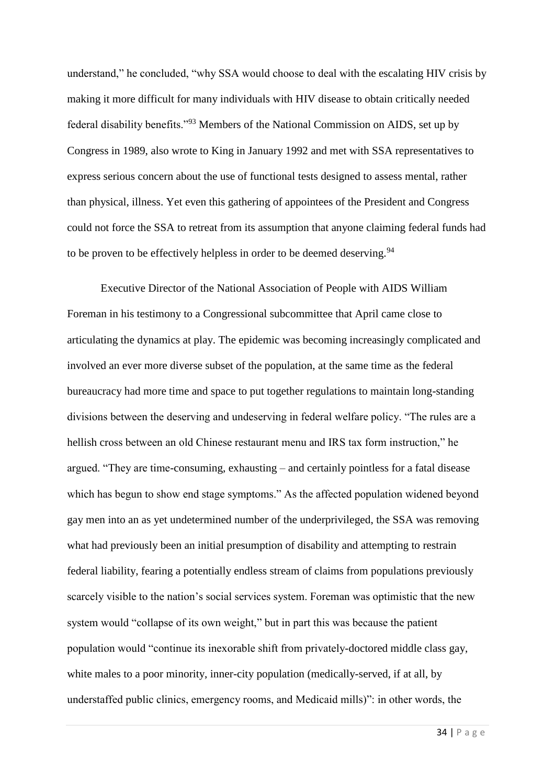understand," he concluded, "why SSA would choose to deal with the escalating HIV crisis by making it more difficult for many individuals with HIV disease to obtain critically needed federal disability benefits."<sup>93</sup> Members of the National Commission on AIDS, set up by Congress in 1989, also wrote to King in January 1992 and met with SSA representatives to express serious concern about the use of functional tests designed to assess mental, rather than physical, illness. Yet even this gathering of appointees of the President and Congress could not force the SSA to retreat from its assumption that anyone claiming federal funds had to be proven to be effectively helpless in order to be deemed deserving.<sup>94</sup>

Executive Director of the National Association of People with AIDS William Foreman in his testimony to a Congressional subcommittee that April came close to articulating the dynamics at play. The epidemic was becoming increasingly complicated and involved an ever more diverse subset of the population, at the same time as the federal bureaucracy had more time and space to put together regulations to maintain long-standing divisions between the deserving and undeserving in federal welfare policy. "The rules are a hellish cross between an old Chinese restaurant menu and IRS tax form instruction," he argued. "They are time-consuming, exhausting – and certainly pointless for a fatal disease which has begun to show end stage symptoms." As the affected population widened beyond gay men into an as yet undetermined number of the underprivileged, the SSA was removing what had previously been an initial presumption of disability and attempting to restrain federal liability, fearing a potentially endless stream of claims from populations previously scarcely visible to the nation's social services system. Foreman was optimistic that the new system would "collapse of its own weight," but in part this was because the patient population would "continue its inexorable shift from privately-doctored middle class gay, white males to a poor minority, inner-city population (medically-served, if at all, by understaffed public clinics, emergency rooms, and Medicaid mills)": in other words, the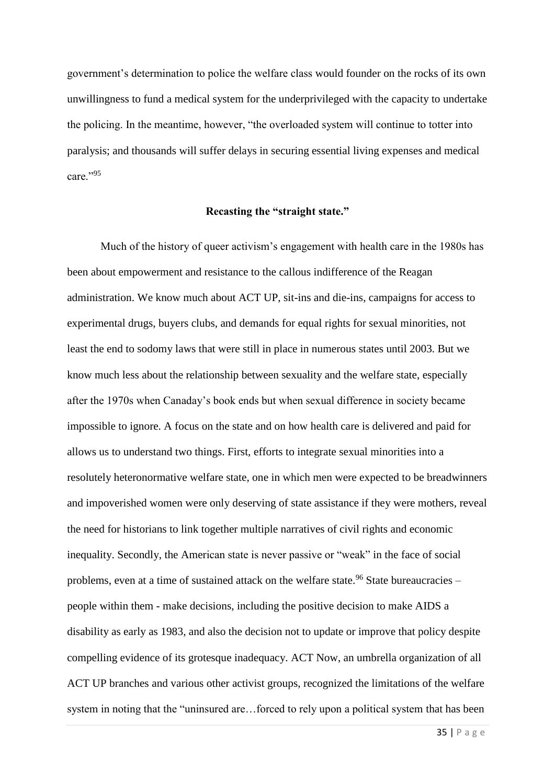government's determination to police the welfare class would founder on the rocks of its own unwillingness to fund a medical system for the underprivileged with the capacity to undertake the policing. In the meantime, however, "the overloaded system will continue to totter into paralysis; and thousands will suffer delays in securing essential living expenses and medical care<sup>"95</sup>

## **Recasting the "straight state."**

Much of the history of queer activism's engagement with health care in the 1980s has been about empowerment and resistance to the callous indifference of the Reagan administration. We know much about ACT UP, sit-ins and die-ins, campaigns for access to experimental drugs, buyers clubs, and demands for equal rights for sexual minorities, not least the end to sodomy laws that were still in place in numerous states until 2003. But we know much less about the relationship between sexuality and the welfare state, especially after the 1970s when Canaday's book ends but when sexual difference in society became impossible to ignore. A focus on the state and on how health care is delivered and paid for allows us to understand two things. First, efforts to integrate sexual minorities into a resolutely heteronormative welfare state, one in which men were expected to be breadwinners and impoverished women were only deserving of state assistance if they were mothers, reveal the need for historians to link together multiple narratives of civil rights and economic inequality. Secondly, the American state is never passive or "weak" in the face of social problems, even at a time of sustained attack on the welfare state.<sup>96</sup> State bureaucracies – people within them - make decisions, including the positive decision to make AIDS a disability as early as 1983, and also the decision not to update or improve that policy despite compelling evidence of its grotesque inadequacy. ACT Now, an umbrella organization of all ACT UP branches and various other activist groups, recognized the limitations of the welfare system in noting that the "uninsured are…forced to rely upon a political system that has been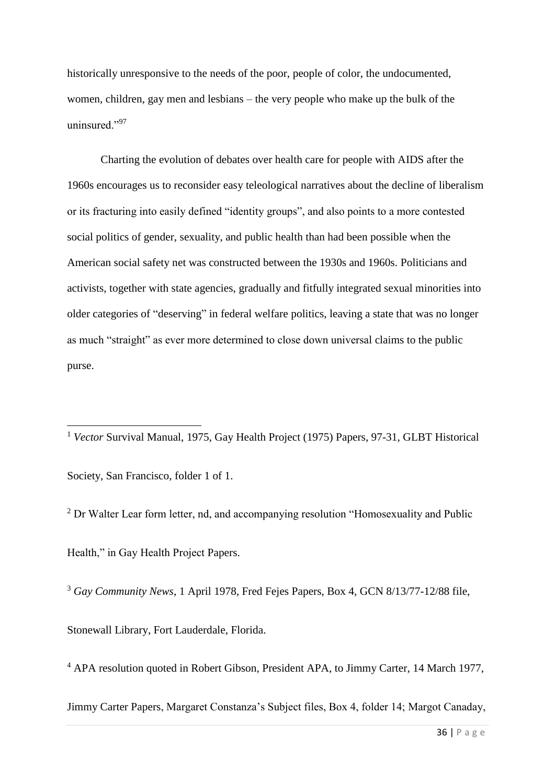historically unresponsive to the needs of the poor, people of color, the undocumented, women, children, gay men and lesbians – the very people who make up the bulk of the uninsured<sup>"97</sup>

Charting the evolution of debates over health care for people with AIDS after the 1960s encourages us to reconsider easy teleological narratives about the decline of liberalism or its fracturing into easily defined "identity groups", and also points to a more contested social politics of gender, sexuality, and public health than had been possible when the American social safety net was constructed between the 1930s and 1960s. Politicians and activists, together with state agencies, gradually and fitfully integrated sexual minorities into older categories of "deserving" in federal welfare politics, leaving a state that was no longer as much "straight" as ever more determined to close down universal claims to the public purse.

<sup>1</sup> Vector Survival Manual, 1975, Gay Health Project (1975) Papers, 97-31, GLBT Historical

Society, San Francisco, folder 1 of 1.

1

<sup>2</sup> Dr Walter Lear form letter, nd, and accompanying resolution "Homosexuality and Public Health," in Gay Health Project Papers.

<sup>3</sup> *Gay Community News*, 1 April 1978, Fred Fejes Papers, Box 4, GCN 8/13/77-12/88 file, Stonewall Library, Fort Lauderdale, Florida.

<sup>4</sup> APA resolution quoted in Robert Gibson, President APA, to Jimmy Carter, 14 March 1977,

Jimmy Carter Papers, Margaret Constanza's Subject files, Box 4, folder 14; Margot Canaday,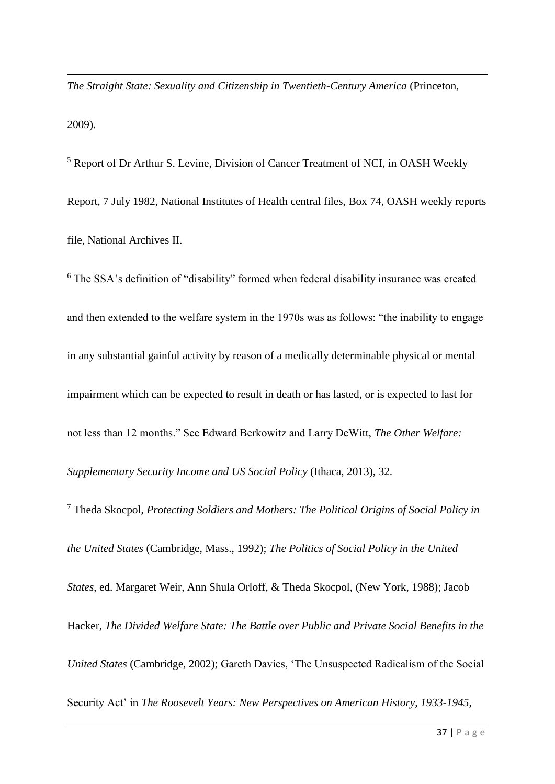*The Straight State: Sexuality and Citizenship in Twentieth-Century America* (Princeton, 2009).

1

<sup>5</sup> Report of Dr Arthur S. Levine, Division of Cancer Treatment of NCI, in OASH Weekly Report, 7 July 1982, National Institutes of Health central files, Box 74, OASH weekly reports file, National Archives II.

<sup>6</sup> The SSA's definition of "disability" formed when federal disability insurance was created and then extended to the welfare system in the 1970s was as follows: "the inability to engage in any substantial gainful activity by reason of a medically determinable physical or mental impairment which can be expected to result in death or has lasted, or is expected to last for not less than 12 months." See Edward Berkowitz and Larry DeWitt, *The Other Welfare:* 

*Supplementary Security Income and US Social Policy* (Ithaca, 2013), 32.

<sup>7</sup> Theda Skocpol, *Protecting Soldiers and Mothers: The Political Origins of Social Policy in the United States* (Cambridge, Mass., 1992); *The Politics of Social Policy in the United States*, ed. Margaret Weir, Ann Shula Orloff, & Theda Skocpol, (New York, 1988); Jacob Hacker, *The Divided Welfare State: The Battle over Public and Private Social Benefits in the United States* (Cambridge, 2002); Gareth Davies, 'The Unsuspected Radicalism of the Social Security Act' in *The Roosevelt Years: New Perspectives on American History, 1933-1945*,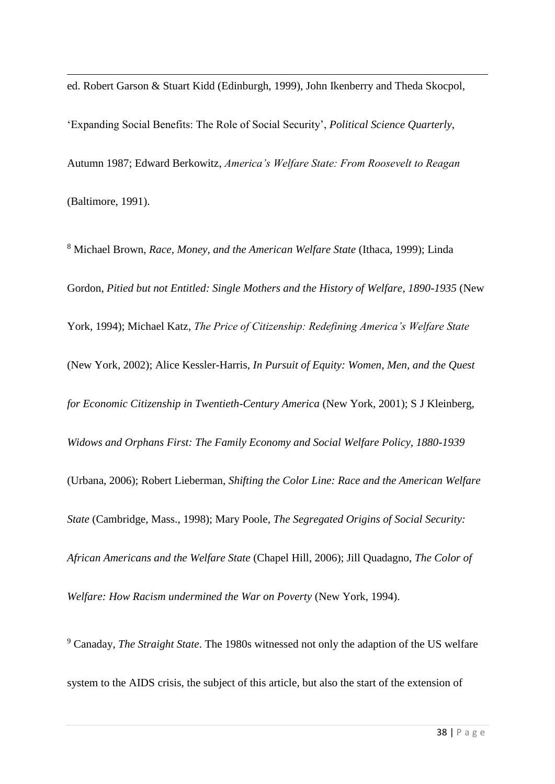ed. Robert Garson & Stuart Kidd (Edinburgh, 1999), John Ikenberry and Theda Skocpol,

1

'Expanding Social Benefits: The Role of Social Security', *Political Science Quarterly*, Autumn 1987; Edward Berkowitz, *America's Welfare State: From Roosevelt to Reagan*  (Baltimore, 1991).

<sup>8</sup> Michael Brown, *Race, Money, and the American Welfare State* (Ithaca, 1999); Linda Gordon, *Pitied but not Entitled: Single Mothers and the History of Welfare, 1890-1935* (New York, 1994); Michael Katz, *The Price of Citizenship: Redefining America's Welfare State*  (New York, 2002); Alice Kessler-Harris, *In Pursuit of Equity: Women, Men, and the Quest for Economic Citizenship in Twentieth-Century America* (New York, 2001); S J Kleinberg, *Widows and Orphans First: The Family Economy and Social Welfare Policy, 1880-1939*  (Urbana, 2006); Robert Lieberman, *Shifting the Color Line: Race and the American Welfare State* (Cambridge, Mass., 1998); Mary Poole, *The Segregated Origins of Social Security: African Americans and the Welfare State* (Chapel Hill, 2006); Jill Quadagno, *The Color of Welfare: How Racism undermined the War on Poverty* (New York, 1994).

<sup>9</sup> Canaday, *The Straight State*. The 1980s witnessed not only the adaption of the US welfare system to the AIDS crisis, the subject of this article, but also the start of the extension of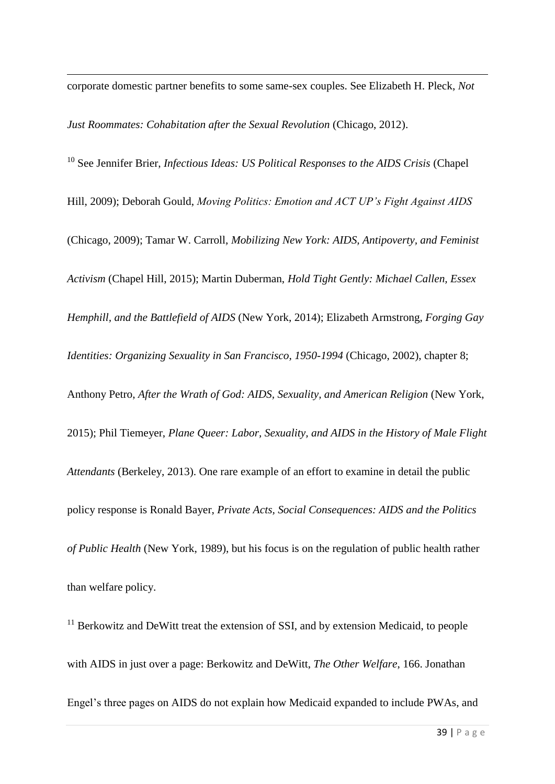corporate domestic partner benefits to some same-sex couples. See Elizabeth H. Pleck, *Not* 

*Just Roommates: Cohabitation after the Sexual Revolution* (Chicago, 2012).

1

<sup>10</sup> See Jennifer Brier, *Infectious Ideas: US Political Responses to the AIDS Crisis* (Chapel) Hill, 2009); Deborah Gould, *Moving Politics: Emotion and ACT UP's Fight Against AIDS*  (Chicago, 2009); Tamar W. Carroll, *Mobilizing New York: AIDS, Antipoverty, and Feminist Activism* (Chapel Hill, 2015); Martin Duberman, *Hold Tight Gently: Michael Callen, Essex Hemphill, and the Battlefield of AIDS* (New York, 2014); Elizabeth Armstrong, *Forging Gay Identities: Organizing Sexuality in San Francisco, 1950-1994 (Chicago, 2002), chapter 8;* Anthony Petro, *After the Wrath of God: AIDS, Sexuality, and American Religion* (New York, 2015); Phil Tiemeyer, *Plane Queer: Labor, Sexuality, and AIDS in the History of Male Flight Attendants* (Berkeley, 2013). One rare example of an effort to examine in detail the public policy response is Ronald Bayer, *Private Acts, Social Consequences: AIDS and the Politics of Public Health* (New York, 1989), but his focus is on the regulation of public health rather than welfare policy.

<sup>11</sup> Berkowitz and DeWitt treat the extension of SSI, and by extension Medicaid, to people with AIDS in just over a page: Berkowitz and DeWitt, *The Other Welfare*, 166. Jonathan Engel's three pages on AIDS do not explain how Medicaid expanded to include PWAs, and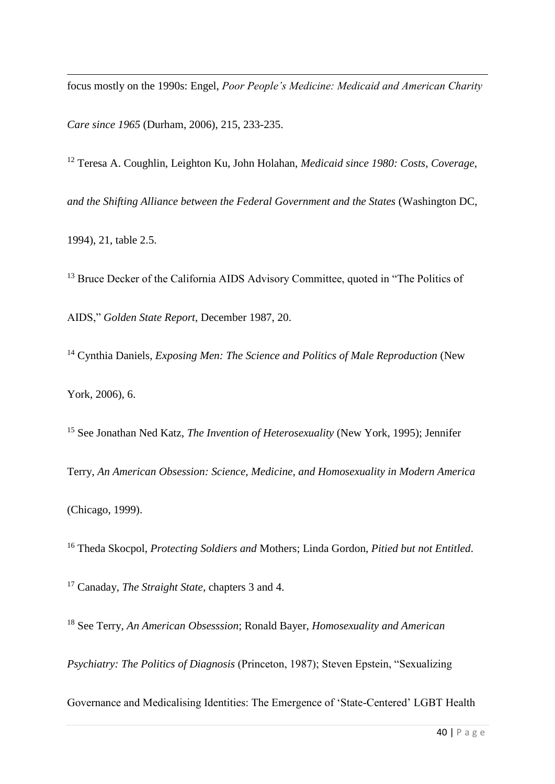1 focus mostly on the 1990s: Engel, *Poor People's Medicine: Medicaid and American Charity* 

*Care since 1965* (Durham, 2006), 215, 233-235.

<sup>12</sup> Teresa A. Coughlin, Leighton Ku, John Holahan, *Medicaid since 1980: Costs, Coverage, and the Shifting Alliance between the Federal Government and the States* (Washington DC,

1994), 21, table 2.5.

<sup>13</sup> Bruce Decker of the California AIDS Advisory Committee, quoted in "The Politics of AIDS," *Golden State Report*, December 1987, 20.

<sup>14</sup> Cynthia Daniels, *Exposing Men: The Science and Politics of Male Reproduction* (New York, 2006), 6.

<sup>15</sup> See Jonathan Ned Katz, *The Invention of Heterosexuality* (New York, 1995); Jennifer Terry, *An American Obsession: Science, Medicine, and Homosexuality in Modern America*  (Chicago, 1999).

<sup>16</sup> Theda Skocpol, *Protecting Soldiers and* Mothers; Linda Gordon, *Pitied but not Entitled*.

<sup>17</sup> Canaday, *The Straight State*, chapters 3 and 4.

<sup>18</sup> See Terry, *An American Obsesssion*; Ronald Bayer, *Homosexuality and American Psychiatry: The Politics of Diagnosis* (Princeton, 1987); Steven Epstein, "Sexualizing

Governance and Medicalising Identities: The Emergence of 'State-Centered' LGBT Health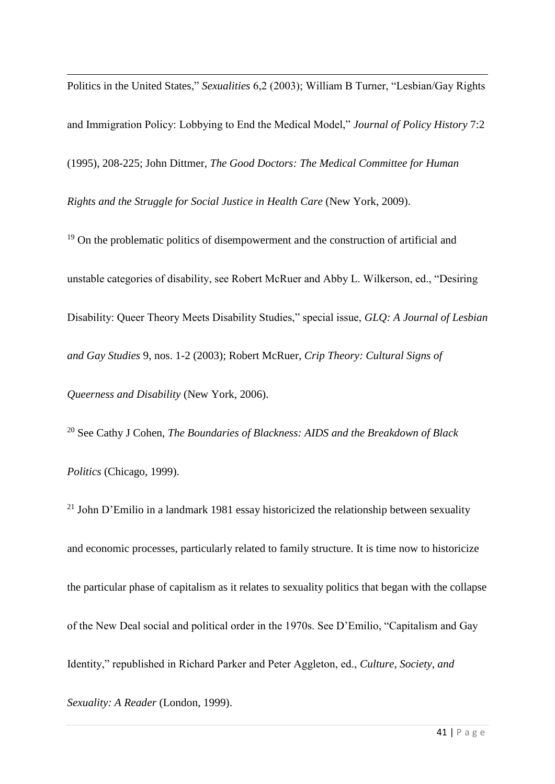1 Politics in the United States," *Sexualities* 6,2 (2003); William B Turner, "Lesbian/Gay Rights and Immigration Policy: Lobbying to End the Medical Model," *Journal of Policy History* 7:2 (1995), 208-225; John Dittmer, *The Good Doctors: The Medical Committee for Human* 

*Rights and the Struggle for Social Justice in Health Care* (New York, 2009).

<sup>19</sup> On the problematic politics of disempowerment and the construction of artificial and unstable categories of disability, see Robert McRuer and Abby L. Wilkerson, ed., "Desiring Disability: Queer Theory Meets Disability Studies," special issue, *GLQ: A Journal of Lesbian and Gay Studies* 9, nos. 1-2 (2003); Robert McRuer, *Crip Theory: Cultural Signs of Queerness and Disability* (New York, 2006).

<sup>20</sup> See Cathy J Cohen, *The Boundaries of Blackness: AIDS and the Breakdown of Black Politics* (Chicago, 1999).

<sup>21</sup> John D'Emilio in a landmark 1981 essay historicized the relationship between sexuality and economic processes, particularly related to family structure. It is time now to historicize the particular phase of capitalism as it relates to sexuality politics that began with the collapse of the New Deal social and political order in the 1970s. See D'Emilio, "Capitalism and Gay Identity," republished in Richard Parker and Peter Aggleton, ed., *Culture, Society, and Sexuality: A Reader* (London, 1999).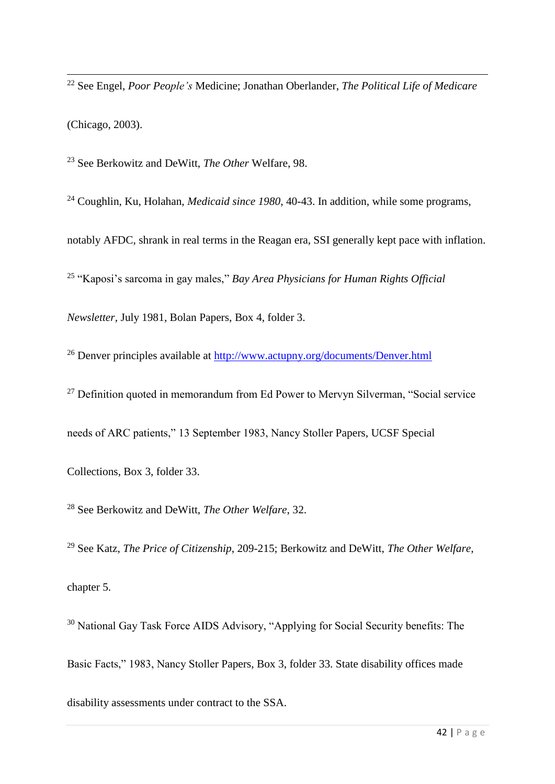1 <sup>22</sup> See Engel, *Poor People's* Medicine; Jonathan Oberlander, *The Political Life of Medicare*  (Chicago, 2003).

<sup>23</sup> See Berkowitz and DeWitt, *The Other* Welfare, 98.

<sup>24</sup> Coughlin, Ku, Holahan, *Medicaid since 1980*, 40-43. In addition, while some programs, notably AFDC, shrank in real terms in the Reagan era, SSI generally kept pace with inflation. <sup>25</sup> "Kaposi's sarcoma in gay males," *Bay Area Physicians for Human Rights Official* 

*Newsletter*, July 1981, Bolan Papers, Box 4, folder 3.

<sup>26</sup> Denver principles available at<http://www.actupny.org/documents/Denver.html>

<sup>27</sup> Definition quoted in memorandum from Ed Power to Mervyn Silverman, "Social service" needs of ARC patients," 13 September 1983, Nancy Stoller Papers, UCSF Special

Collections, Box 3, folder 33.

<sup>28</sup> See Berkowitz and DeWitt, *The Other Welfare*, 32.

<sup>29</sup> See Katz, *The Price of Citizenship*, 209-215; Berkowitz and DeWitt, *The Other Welfare*, chapter 5.

<sup>30</sup> National Gay Task Force AIDS Advisory, "Applying for Social Security benefits: The Basic Facts," 1983, Nancy Stoller Papers, Box 3, folder 33. State disability offices made disability assessments under contract to the SSA.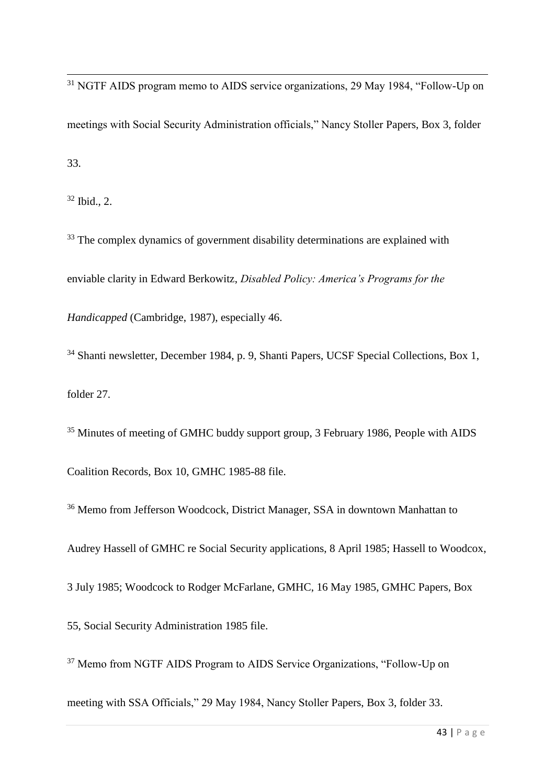<sup>31</sup> NGTF AIDS program memo to AIDS service organizations, 29 May 1984, "Follow-Up on meetings with Social Security Administration officials," Nancy Stoller Papers, Box 3, folder 33.

<sup>32</sup> Ibid., 2.

1

 $33$  The complex dynamics of government disability determinations are explained with enviable clarity in Edward Berkowitz, *Disabled Policy: America's Programs for the Handicapped* (Cambridge, 1987), especially 46.

<sup>34</sup> Shanti newsletter, December 1984, p. 9, Shanti Papers, UCSF Special Collections, Box 1, folder 27.

<sup>35</sup> Minutes of meeting of GMHC buddy support group, 3 February 1986, People with AIDS Coalition Records, Box 10, GMHC 1985-88 file.

<sup>36</sup> Memo from Jefferson Woodcock, District Manager, SSA in downtown Manhattan to Audrey Hassell of GMHC re Social Security applications, 8 April 1985; Hassell to Woodcox, 3 July 1985; Woodcock to Rodger McFarlane, GMHC, 16 May 1985, GMHC Papers, Box 55, Social Security Administration 1985 file.

<sup>37</sup> Memo from NGTF AIDS Program to AIDS Service Organizations, "Follow-Up on meeting with SSA Officials," 29 May 1984, Nancy Stoller Papers, Box 3, folder 33.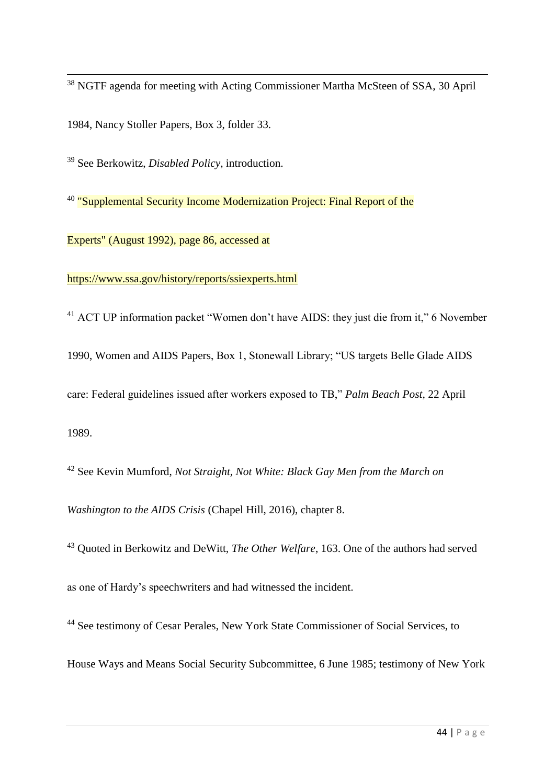1 <sup>38</sup> NGTF agenda for meeting with Acting Commissioner Martha McSteen of SSA, 30 April

1984, Nancy Stoller Papers, Box 3, folder 33.

<sup>39</sup> See Berkowitz, *Disabled Policy*, introduction.

<sup>40</sup> "Supplemental Security Income Modernization Project: Final Report of the

Experts" (August 1992), page 86, accessed at

<https://www.ssa.gov/history/reports/ssiexperts.html>

<sup>41</sup> ACT UP information packet "Women don't have AIDS: they just die from it," 6 November

1990, Women and AIDS Papers, Box 1, Stonewall Library; "US targets Belle Glade AIDS

care: Federal guidelines issued after workers exposed to TB," *Palm Beach Post*, 22 April

1989.

<sup>42</sup> See Kevin Mumford, *Not Straight, Not White: Black Gay Men from the March on Washington to the AIDS Crisis* (Chapel Hill, 2016), chapter 8.

<sup>43</sup> Quoted in Berkowitz and DeWitt, *The Other Welfare*, 163. One of the authors had served as one of Hardy's speechwriters and had witnessed the incident.

<sup>44</sup> See testimony of Cesar Perales, New York State Commissioner of Social Services, to

House Ways and Means Social Security Subcommittee, 6 June 1985; testimony of New York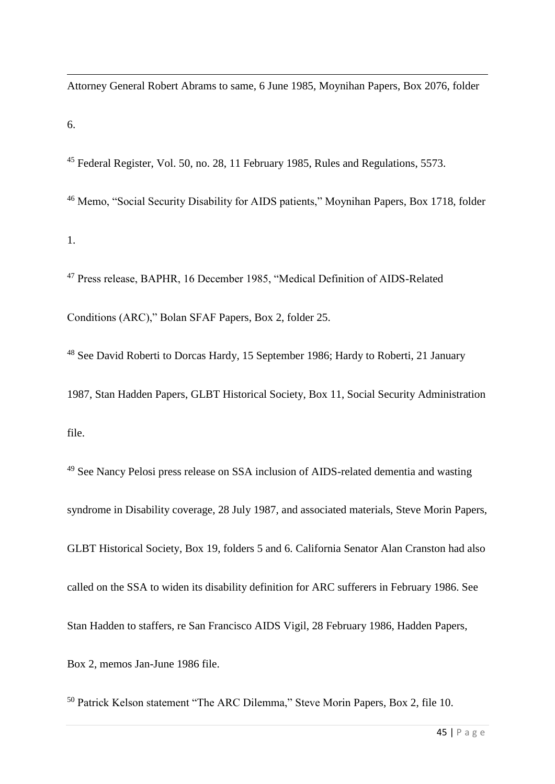Attorney General Robert Abrams to same, 6 June 1985, Moynihan Papers, Box 2076, folder 6.

<sup>45</sup> Federal Register, Vol. 50, no. 28, 11 February 1985, Rules and Regulations, 5573.

1

<sup>46</sup> Memo, "Social Security Disability for AIDS patients," Moynihan Papers, Box 1718, folder 1.

<sup>47</sup> Press release, BAPHR, 16 December 1985, "Medical Definition of AIDS-Related Conditions (ARC)," Bolan SFAF Papers, Box 2, folder 25.

<sup>48</sup> See David Roberti to Dorcas Hardy, 15 September 1986; Hardy to Roberti, 21 January

1987, Stan Hadden Papers, GLBT Historical Society, Box 11, Social Security Administration file.

<sup>49</sup> See Nancy Pelosi press release on SSA inclusion of AIDS-related dementia and wasting syndrome in Disability coverage, 28 July 1987, and associated materials, Steve Morin Papers, GLBT Historical Society, Box 19, folders 5 and 6. California Senator Alan Cranston had also called on the SSA to widen its disability definition for ARC sufferers in February 1986. See Stan Hadden to staffers, re San Francisco AIDS Vigil, 28 February 1986, Hadden Papers, Box 2, memos Jan-June 1986 file.

<sup>50</sup> Patrick Kelson statement "The ARC Dilemma," Steve Morin Papers, Box 2, file 10.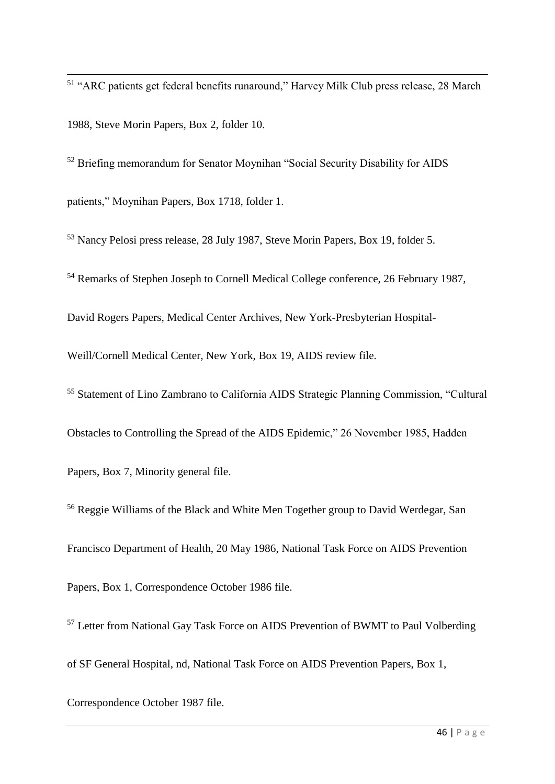1 <sup>51</sup> "ARC patients get federal benefits runaround," Harvey Milk Club press release, 28 March 1988, Steve Morin Papers, Box 2, folder 10.

<sup>52</sup> Briefing memorandum for Senator Moynihan "Social Security Disability for AIDS patients," Moynihan Papers, Box 1718, folder 1.

<sup>53</sup> Nancy Pelosi press release, 28 July 1987, Steve Morin Papers, Box 19, folder 5.

<sup>54</sup> Remarks of Stephen Joseph to Cornell Medical College conference, 26 February 1987,

David Rogers Papers, Medical Center Archives, New York-Presbyterian Hospital-

Weill/Cornell Medical Center, New York, Box 19, AIDS review file.

<sup>55</sup> Statement of Lino Zambrano to California AIDS Strategic Planning Commission, "Cultural

Obstacles to Controlling the Spread of the AIDS Epidemic," 26 November 1985, Hadden

Papers, Box 7, Minority general file.

<sup>56</sup> Reggie Williams of the Black and White Men Together group to David Werdegar, San Francisco Department of Health, 20 May 1986, National Task Force on AIDS Prevention Papers, Box 1, Correspondence October 1986 file.

<sup>57</sup> Letter from National Gay Task Force on AIDS Prevention of BWMT to Paul Volberding of SF General Hospital, nd, National Task Force on AIDS Prevention Papers, Box 1,

Correspondence October 1987 file.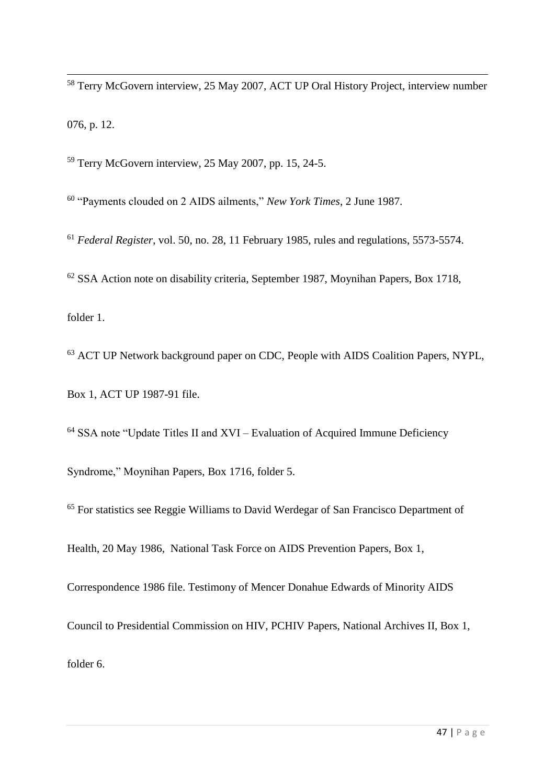1 <sup>58</sup> Terry McGovern interview, 25 May 2007, ACT UP Oral History Project, interview number 076, p. 12.

 $59$  Terry McGovern interview, 25 May 2007, pp. 15, 24-5.

<sup>60</sup> "Payments clouded on 2 AIDS ailments," *New York Times*, 2 June 1987.

<sup>61</sup> *Federal Register*, vol. 50, no. 28, 11 February 1985, rules and regulations, 5573-5574.

<sup>62</sup> SSA Action note on disability criteria, September 1987, Moynihan Papers, Box 1718,

folder 1.

<sup>63</sup> ACT UP Network background paper on CDC, People with AIDS Coalition Papers, NYPL, Box 1, ACT UP 1987-91 file.

 $64$  SSA note "Update Titles II and XVI – Evaluation of Acquired Immune Deficiency Syndrome," Moynihan Papers, Box 1716, folder 5.

<sup>65</sup> For statistics see Reggie Williams to David Werdegar of San Francisco Department of Health, 20 May 1986, National Task Force on AIDS Prevention Papers, Box 1, Correspondence 1986 file. Testimony of Mencer Donahue Edwards of Minority AIDS Council to Presidential Commission on HIV, PCHIV Papers, National Archives II, Box 1, folder 6.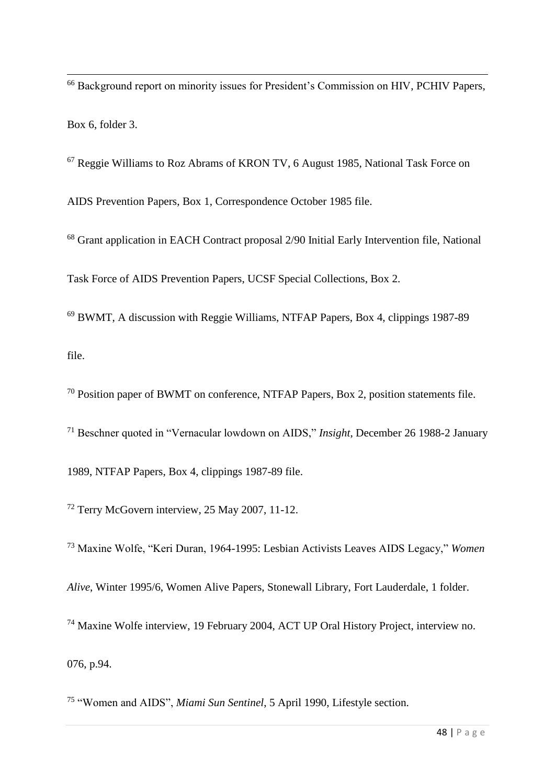1 <sup>66</sup> Background report on minority issues for President's Commission on HIV, PCHIV Papers, Box 6, folder 3.

<sup>67</sup> Reggie Williams to Roz Abrams of KRON TV, 6 August 1985, National Task Force on

AIDS Prevention Papers, Box 1, Correspondence October 1985 file.

<sup>68</sup> Grant application in EACH Contract proposal 2/90 Initial Early Intervention file, National

Task Force of AIDS Prevention Papers, UCSF Special Collections, Box 2.

<sup>69</sup> BWMT, A discussion with Reggie Williams, NTFAP Papers, Box 4, clippings 1987-89 file.

<sup>70</sup> Position paper of BWMT on conference, NTFAP Papers, Box 2, position statements file.

<sup>71</sup> Beschner quoted in "Vernacular lowdown on AIDS," *Insight*, December 26 1988-2 January 1989, NTFAP Papers, Box 4, clippings 1987-89 file.

<sup>72</sup> Terry McGovern interview, 25 May 2007, 11-12.

<sup>73</sup> Maxine Wolfe, "Keri Duran, 1964-1995: Lesbian Activists Leaves AIDS Legacy," *Women Alive*, Winter 1995/6, Women Alive Papers, Stonewall Library, Fort Lauderdale, 1 folder. <sup>74</sup> Maxine Wolfe interview, 19 February 2004, ACT UP Oral History Project, interview no. 076, p.94.

<sup>75</sup> "Women and AIDS", *Miami Sun Sentinel*, 5 April 1990, Lifestyle section.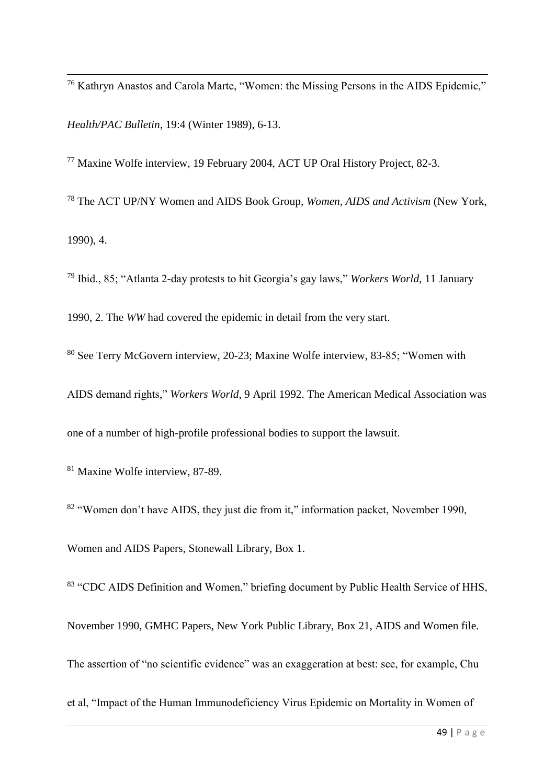1 <sup>76</sup> Kathryn Anastos and Carola Marte, "Women: the Missing Persons in the AIDS Epidemic,"

*Health/PAC Bulletin*, 19:4 (Winter 1989), 6-13.

<sup>77</sup> Maxine Wolfe interview, 19 February 2004, ACT UP Oral History Project, 82-3.

<sup>78</sup> The ACT UP/NY Women and AIDS Book Group, *Women, AIDS and Activism* (New York, 1990), 4.

<sup>79</sup> Ibid., 85; "Atlanta 2-day protests to hit Georgia's gay laws," *Workers World*, 11 January

1990, 2. The *WW* had covered the epidemic in detail from the very start.

<sup>80</sup> See Terry McGovern interview, 20-23; Maxine Wolfe interview, 83-85; "Women with

AIDS demand rights," *Workers World*, 9 April 1992. The American Medical Association was

one of a number of high-profile professional bodies to support the lawsuit.

<sup>81</sup> Maxine Wolfe interview, 87-89.

<sup>82</sup> "Women don't have AIDS, they just die from it," information packet, November 1990,

Women and AIDS Papers, Stonewall Library, Box 1.

<sup>83</sup> "CDC AIDS Definition and Women," briefing document by Public Health Service of HHS, November 1990, GMHC Papers, New York Public Library, Box 21, AIDS and Women file. The assertion of "no scientific evidence" was an exaggeration at best: see, for example, Chu et al, "Impact of the Human Immunodeficiency Virus Epidemic on Mortality in Women of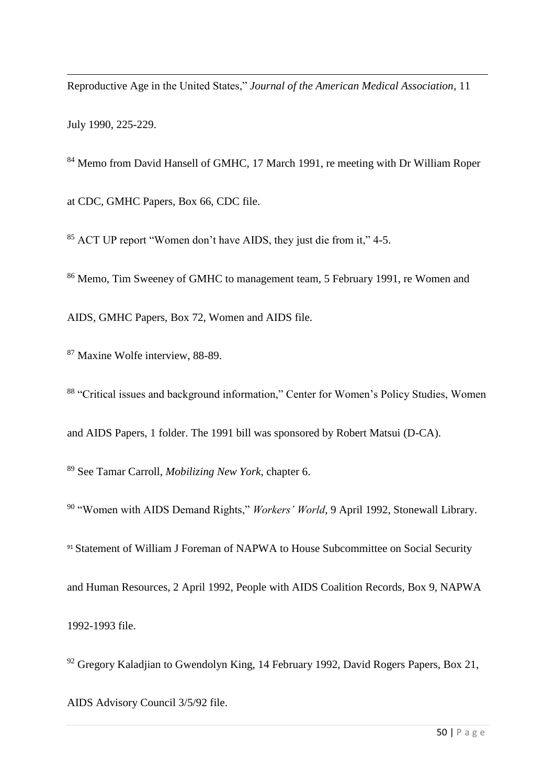1 Reproductive Age in the United States," *Journal of the American Medical Association*, 11

July 1990, 225-229.

<sup>84</sup> Memo from David Hansell of GMHC, 17 March 1991, re meeting with Dr William Roper

at CDC, GMHC Papers, Box 66, CDC file.

<sup>85</sup> ACT UP report "Women don't have AIDS, they just die from it," 4-5.

<sup>86</sup> Memo, Tim Sweeney of GMHC to management team, 5 February 1991, re Women and

AIDS, GMHC Papers, Box 72, Women and AIDS file.

<sup>87</sup> Maxine Wolfe interview, 88-89.

<sup>88</sup> "Critical issues and background information," Center for Women's Policy Studies, Women

and AIDS Papers, 1 folder. The 1991 bill was sponsored by Robert Matsui (D-CA).

<sup>89</sup> See Tamar Carroll, *Mobilizing New York*, chapter 6.

<sup>90</sup> "Women with AIDS Demand Rights," *Workers' World*, 9 April 1992, Stonewall Library.

<sup>91</sup> Statement of William J Foreman of NAPWA to House Subcommittee on Social Security

and Human Resources, 2 April 1992, People with AIDS Coalition Records, Box 9, NAPWA

1992-1993 file.

 $92$  Gregory Kaladjian to Gwendolyn King, 14 February 1992, David Rogers Papers, Box 21,

AIDS Advisory Council 3/5/92 file.